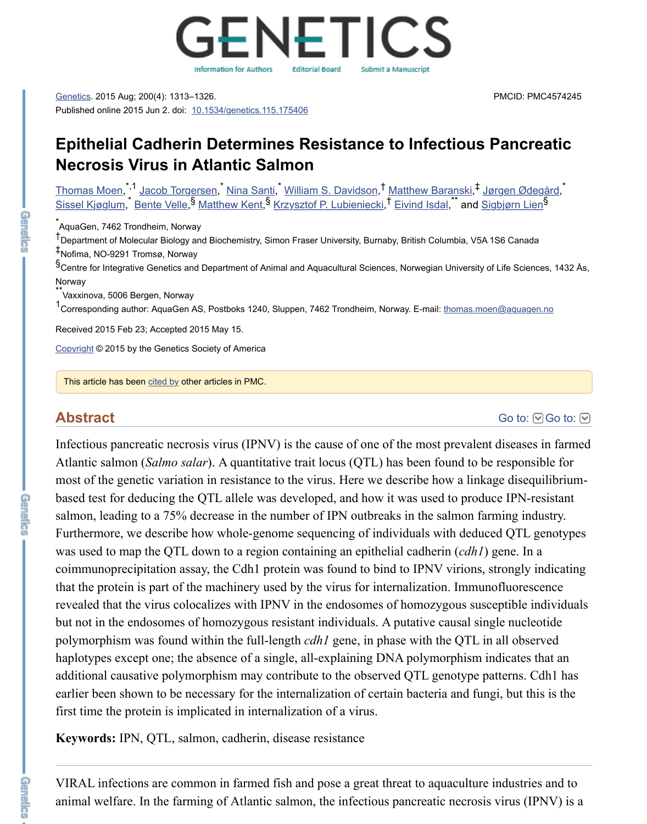

[Genetics](https://www.ncbi.nlm.nih.gov/pmc/articles/PMC4574245/#). 2015 Aug; 200(4): 1313–1326. Published online 2015 Jun 2. doi: [10.1534/genetics.115.175406](https://dx.doi.org/10.1534%2Fgenetics.115.175406)

# **Epithelial Cadherin Determines Resistance to Infectious Pancreatic Necrosis Virus in Atlantic Salmon**

<u>[Thomas Moen,](https://www.ncbi.nlm.nih.gov/pubmed/?term=Moen%20T%5BAuthor%5D&cauthor=true&cauthor_uid=26041276) ' [Jacob Torgersen,](https://www.ncbi.nlm.nih.gov/pubmed/?term=Torgersen%20J%5BAuthor%5D&cauthor=true&cauthor_uid=26041276) [Nina Santi](https://www.ncbi.nlm.nih.gov/pubmed/?term=Santi%20N%5BAuthor%5D&cauthor=true&cauthor_uid=26041276), [William S. Davidson](https://www.ncbi.nlm.nih.gov/pubmed/?term=Davidson%20WS%5BAuthor%5D&cauthor=true&cauthor_uid=26041276), [Matthew Baranski,](https://www.ncbi.nlm.nih.gov/pubmed/?term=Baranski%20M%5BAuthor%5D&cauthor=true&cauthor_uid=26041276) Uørgen Ødegård,</u> [Sissel Kjøglum,](https://www.ncbi.nlm.nih.gov/pubmed/?term=Kj%26%23x000f8%3Bglum%20S%5BAuthor%5D&cauthor=true&cauthor_uid=26041276) [Bente Velle](https://www.ncbi.nlm.nih.gov/pubmed/?term=Velle%20B%5BAuthor%5D&cauthor=true&cauthor_uid=26041276),<sup>s</sup> [Matthew Kent,](https://www.ncbi.nlm.nih.gov/pubmed/?term=Kent%20M%5BAuthor%5D&cauthor=true&cauthor_uid=26041276)<sup>s</sup> [Krzysztof P. Lubieniecki,](https://www.ncbi.nlm.nih.gov/pubmed/?term=Lubieniecki%20KP%5BAuthor%5D&cauthor=true&cauthor_uid=26041276) [Eivind Isdal](https://www.ncbi.nlm.nih.gov/pubmed/?term=Isdal%20E%5BAuthor%5D&cauthor=true&cauthor_uid=26041276), and [Sigbjørn Lien](https://www.ncbi.nlm.nih.gov/pubmed/?term=Lien%20S%5BAuthor%5D&cauthor=true&cauthor_uid=26041276) \*,1 Jacob Torgerson \* Nina Santi \* William S. Davidson T. Matthew Baranski T. Jargen Adegård \*  $\frac{1}{2}$  Panta Valla  $\frac{1}{3}$  Matthow Kant  $\frac{1}{3}$  Krzycztof P. Lubioniacki  $\frac{1}{3}$  Eivind Jedal  $\stackrel{**}{\cdot}$  and Sighiarn Lians

<u>.</u><br>AquaGen, 7462 Trondheim, Norway

t<br>Department of Molecular Biology and Biochemistry, Simon Fraser University, Burnaby, British Columbia, V5A 1S6 Canada Nofima, NO-9291 Tromsø, Norway ‡

§<br>Scentre for Integrative Genetics and Department of Animal and Aquacultural Sciences, Norwegian University of Life Sciences, 1432 Ås, Norway

\*\*<br>Vaxxinova, 5006 Bergen, Norway

1<br>Corresponding author: AquaGen AS, Postboks 1240, Sluppen, 7462 Trondheim, Norway. E-mail: [thomas.moen@aquagen.no](mailto:dev@null)

Received 2015 Feb 23; Accepted 2015 May 15.

[Copyright](https://www.ncbi.nlm.nih.gov/pmc/about/copyright/) © 2015 by the Genetics Society of America

This article has been [cited by](https://www.ncbi.nlm.nih.gov/pmc/articles/PMC4574245/citedby/) other articles in PMC.

[Go to:](https://www.ncbi.nlm.nih.gov/pmc/articles/PMC4574245/#)  $\bigcirc$  Go to:  $\bigcirc$ 

Infectious pancreatic necrosis virus (IPNV) is the cause of one of the most prevalent diseases in farmed Atlantic salmon (*Salmo salar*). A quantitative trait locus (QTL) has been found to be responsible for most of the genetic variation in resistance to the virus. Here we describe how a linkage disequilibriumbased test for deducing the QTL allele was developed, and how it was used to produce IPN-resistant salmon, leading to a 75% decrease in the number of IPN outbreaks in the salmon farming industry. Furthermore, we describe how whole-genome sequencing of individuals with deduced QTL genotypes was used to map the QTL down to a region containing an epithelial cadherin (*cdh1*) gene. In a coimmunoprecipitation assay, the Cdh1 protein was found to bind to IPNV virions, strongly indicating that the protein is part of the machinery used by the virus for internalization. Immunofluorescence revealed that the virus colocalizes with IPNV in the endosomes of homozygous susceptible individuals but not in the endosomes of homozygous resistant individuals. A putative causal single nucleotide polymorphism was found within the full-length *cdh1* gene, in phase with the QTL in all observed haplotypes except one; the absence of a single, all-explaining DNA polymorphism indicates that an additional causative polymorphism may contribute to the observed QTL genotype patterns. Cdh1 has earlier been shown to be necessary for the internalization of certain bacteria and fungi, but this is the first time the protein is implicated in internalization of a virus.

**Keywords:** IPN, QTL, salmon, cadherin, disease resistance

VIRAL infections are common in farmed fish and pose a great threat to aquaculture industries and to animal welfare. In the farming of Atlantic salmon, the infectious pancreatic necrosis virus (IPNV) is a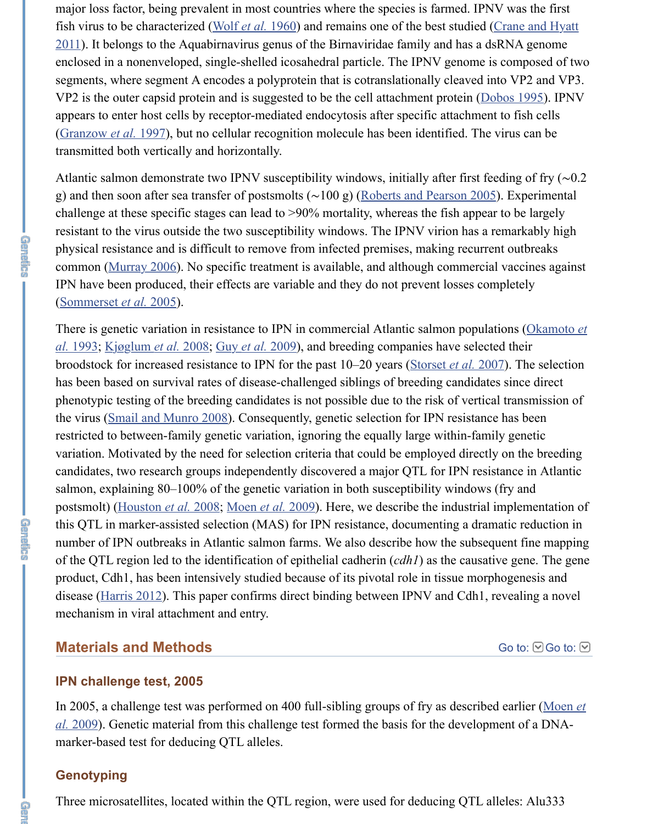major loss factor, being prevalent in most countries where the species is farmed. IPNV was the first fish virus to be characterized ([Wolf](https://www.ncbi.nlm.nih.gov/pmc/articles/PMC4574245/#bib45) *et al.* 1960) and remains one of the best studied (Crane and Hyatt [2011\). It belongs to the Aquabirnavirus genus of the Birnaviridae family and has a dsRNA genome](https://www.ncbi.nlm.nih.gov/pmc/articles/PMC4574245/#bib5) enclosed in a nonenveloped, single-shelled icosahedral particle. The IPNV genome is composed of two segments, where segment A encodes a polyprotein that is cotranslationally cleaved into VP2 and VP3. VP2 is the outer capsid protein and is suggested to be the cell attachment protein [\(Dobos 1995](https://www.ncbi.nlm.nih.gov/pmc/articles/PMC4574245/#bib9)). IPNV appears to enter host cells by receptor-mediated endocytosis after specific attachment to fish cells [\(Granzow](https://www.ncbi.nlm.nih.gov/pmc/articles/PMC4574245/#bib12) *et al.* 1997), but no cellular recognition molecule has been identified. The virus can be transmitted both vertically and horizontally.

Atlantic salmon demonstrate two IPNV susceptibility windows, initially after first feeding of fry (∼0.2 g) and then soon after sea transfer of postsmolts (∼100 g) [\(Roberts and Pearson 2005\)](https://www.ncbi.nlm.nih.gov/pmc/articles/PMC4574245/#bib36). Experimental challenge at these specific stages can lead to >90% mortality, whereas the fish appear to be largely resistant to the virus outside the two susceptibility windows. The IPNV virion has a remarkably high physical resistance and is difficult to remove from infected premises, making recurrent outbreaks common [\(Murray 2006](https://www.ncbi.nlm.nih.gov/pmc/articles/PMC4574245/#bib29)). No specific treatment is available, and although commercial vaccines against IPN have been produced, their effects are variable and they do not prevent losses completely [\(Sommerset](https://www.ncbi.nlm.nih.gov/pmc/articles/PMC4574245/#bib38) *et al.* 2005).

[There is genetic variation in resistance to IPN in commercial Atlantic salmon populations \(Okamoto](https://www.ncbi.nlm.nih.gov/pmc/articles/PMC4574245/#bib32) *et al.* 1993; [Kjøglum](https://www.ncbi.nlm.nih.gov/pmc/articles/PMC4574245/#bib20) *et al.* 2008; Guy *et al.* [2009\)](https://www.ncbi.nlm.nih.gov/pmc/articles/PMC4574245/#bib13), and breeding companies have selected their broodstock for increased resistance to IPN for the past 10–20 years [\(Storset](https://www.ncbi.nlm.nih.gov/pmc/articles/PMC4574245/#bib41) *et al.* 2007). The selection has been based on survival rates of disease-challenged siblings of breeding candidates since direct phenotypic testing of the breeding candidates is not possible due to the risk of vertical transmission of the virus ([Smail and Munro 2008\)](https://www.ncbi.nlm.nih.gov/pmc/articles/PMC4574245/#bib37). Consequently, genetic selection for IPN resistance has been restricted to between-family genetic variation, ignoring the equally large within-family genetic variation. Motivated by the need for selection criteria that could be employed directly on the breeding candidates, two research groups independently discovered a major QTL for IPN resistance in Atlantic salmon, explaining 80–100% of the genetic variation in both susceptibility windows (fry and postsmolt) ([Houston](https://www.ncbi.nlm.nih.gov/pmc/articles/PMC4574245/#bib18) *et al.* 2008; [Moen](https://www.ncbi.nlm.nih.gov/pmc/articles/PMC4574245/#bib26) *et al.* 2009). Here, we describe the industrial implementation of this QTL in marker-assisted selection (MAS) for IPN resistance, documenting a dramatic reduction in number of IPN outbreaks in Atlantic salmon farms. We also describe how the subsequent fine mapping of the QTL region led to the identification of epithelial cadherin (*cdh1*) as the causative gene. The gene product, Cdh1, has been intensively studied because of its pivotal role in tissue morphogenesis and disease [\(Harris 2012](https://www.ncbi.nlm.nih.gov/pmc/articles/PMC4574245/#bib15)). This paper confirms direct binding between IPNV and Cdh1, revealing a novel mechanism in viral attachment and entry.

## **Materials and Methods**

[Go to:](https://www.ncbi.nlm.nih.gov/pmc/articles/PMC4574245/#) **©** Go to: **⊙** 

## **IPN challenge test, 2005**

[In 2005, a challenge test was performed on 400 full-sibling groups of fry as described earlier \(Moen](https://www.ncbi.nlm.nih.gov/pmc/articles/PMC4574245/#bib26) *et al.* 2009). Genetic material from this challenge test formed the basis for the development of a DNAmarker-based test for deducing QTL alleles.

## **Genotyping**

Three microsatellites, located within the QTL region, were used for deducing QTL alleles: Alu333

n<br>E

**GREER**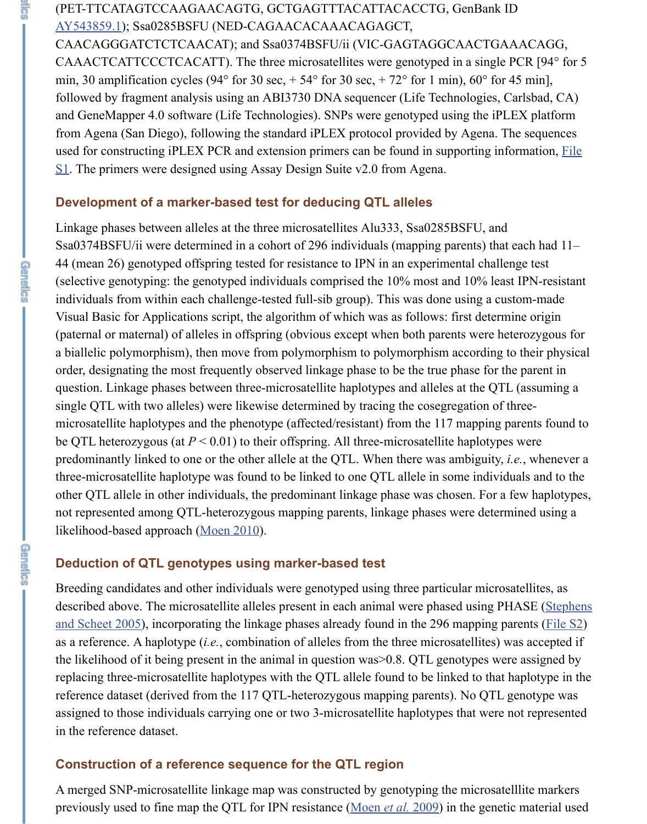# (PET-TTCATAGTCCAAGAACAGTG, GCTGAGTTTACATTACACCTG, GenBank ID [AY543859.1](https://www.ncbi.nlm.nih.gov/nuccore/AY543859.1)); Ssa0285BSFU (NED-CAGAACACAAACAGAGCT,

CAACAGGGATCTCTCAACAT); and Ssa0374BSFU/ii (VIC-GAGTAGGCAACTGAAACAGG, CAAACTCATTCCCTCACATT). The three microsatellites were genotyped in a single PCR [94° for 5 min, 30 amplification cycles (94 $\degree$  for 30 sec, + 54 $\degree$  for 30 sec, + 72 $\degree$  for 1 min), 60 $\degree$  for 45 min], followed by fragment analysis using an ABI3730 DNA sequencer (Life Technologies, Carlsbad, CA) and GeneMapper 4.0 software (Life Technologies). SNPs were genotyped using the iPLEX platform from Agena (San Diego), following the standard iPLEX protocol provided by Agena. The sequences [used for constructing iPLEX PCR and extension primers can be found in supporting information, File](http://www.genetics.org/lookup/suppl/doi:10.1534/genetics.115.175406/-/DC1/genetics.115.175406-1.txt) S1. The primers were designed using Assay Design Suite v2.0 from Agena.

## **Development of a marker-based test for deducing QTL alleles**

Linkage phases between alleles at the three microsatellites Alu333, Ssa0285BSFU, and Ssa0374BSFU/ii were determined in a cohort of 296 individuals (mapping parents) that each had 11– 44 (mean 26) genotyped offspring tested for resistance to IPN in an experimental challenge test (selective genotyping: the genotyped individuals comprised the 10% most and 10% least IPN-resistant individuals from within each challenge-tested full-sib group). This was done using a custom-made Visual Basic for Applications script, the algorithm of which was as follows: first determine origin (paternal or maternal) of alleles in offspring (obvious except when both parents were heterozygous for a biallelic polymorphism), then move from polymorphism to polymorphism according to their physical order, designating the most frequently observed linkage phase to be the true phase for the parent in question. Linkage phases between three-microsatellite haplotypes and alleles at the QTL (assuming a single QTL with two alleles) were likewise determined by tracing the cosegregation of threemicrosatellite haplotypes and the phenotype (affected/resistant) from the 117 mapping parents found to be QTL heterozygous (at  $P < 0.01$ ) to their offspring. All three-microsatellite haplotypes were predominantly linked to one or the other allele at the QTL. When there was ambiguity, *i.e.*, whenever a three-microsatellite haplotype was found to be linked to one QTL allele in some individuals and to the other QTL allele in other individuals, the predominant linkage phase was chosen. For a few haplotypes, not represented among QTL-heterozygous mapping parents, linkage phases were determined using a likelihood-based approach [\(Moen 2010\)](https://www.ncbi.nlm.nih.gov/pmc/articles/PMC4574245/#bib27).

# **Deduction of QTL genotypes using marker-based test**

Breeding candidates and other individuals were genotyped using three particular microsatellites, as [described above. The microsatellite alleles present in each animal were phased using PHASE \(Stephens](https://www.ncbi.nlm.nih.gov/pmc/articles/PMC4574245/#bib40) and Scheet 2005), incorporating the linkage phases already found in the 296 mapping parents [\(File S2](http://www.genetics.org/lookup/suppl/doi:10.1534/genetics.115.175406/-/DC1/genetics.115.175406-8.txt)) as a reference. A haplotype (*i.e.*, combination of alleles from the three microsatellites) was accepted if the likelihood of it being present in the animal in question was>0.8. QTL genotypes were assigned by replacing three-microsatellite haplotypes with the QTL allele found to be linked to that haplotype in the reference dataset (derived from the 117 QTL-heterozygous mapping parents). No QTL genotype was assigned to those individuals carrying one or two 3-microsatellite haplotypes that were not represented in the reference dataset.

# **Construction of a reference sequence for the QTL region**

A merged SNP-microsatellite linkage map was constructed by genotyping the microsatelllite markers previously used to fine map the QTL for IPN resistance [\(Moen](https://www.ncbi.nlm.nih.gov/pmc/articles/PMC4574245/#bib26) *et al.* 2009) in the genetic material used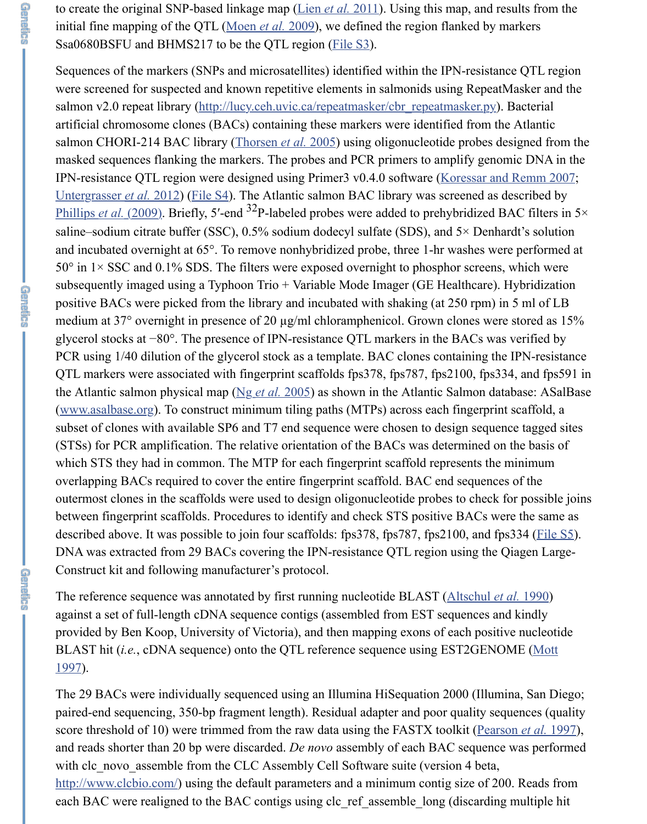to create the original SNP-based linkage map (Lien *et al.* [2011\)](https://www.ncbi.nlm.nih.gov/pmc/articles/PMC4574245/#bib24). Using this map, and results from the initial fine mapping of the QTL ([Moen](https://www.ncbi.nlm.nih.gov/pmc/articles/PMC4574245/#bib26) *et al.* 2009), we defined the region flanked by markers Ssa0680BSFU and BHMS217 to be the QTL region [\(File S3](http://www.genetics.org/lookup/suppl/doi:10.1534/genetics.115.175406/-/DC1/genetics.115.175406-5.txt)).

**C**<br>Baler

**GREER** 

**GREER** 

Sequences of the markers (SNPs and microsatellites) identified within the IPN-resistance QTL region were screened for suspected and known repetitive elements in salmonids using RepeatMasker and the salmon v2.0 repeat library [\(http://lucy.ceh.uvic.ca/repeatmasker/cbr\\_repeatmasker.py\)](http://lucy.ceh.uvic.ca/repeatmasker/cbr_repeatmasker.py). Bacterial artificial chromosome clones (BACs) containing these markers were identified from the Atlantic salmon CHORI-214 BAC library ([Thorsen](https://www.ncbi.nlm.nih.gov/pmc/articles/PMC4574245/#bib42) *et al.* 2005) using oligonucleotide probes designed from the masked sequences flanking the markers. The probes and PCR primers to amplify genomic DNA in the IPN-resistance QTL region were designed using Primer3 v0.4.0 software ([Koressar and Remm 2007;](https://www.ncbi.nlm.nih.gov/pmc/articles/PMC4574245/#bib21) [Untergrasser](https://www.ncbi.nlm.nih.gov/pmc/articles/PMC4574245/#bib43) *et al.* 2012) ([File S4\)](http://www.genetics.org/lookup/suppl/doi:10.1534/genetics.115.175406/-/DC1/genetics.115.175406-4.txt). The Atlantic salmon BAC library was screened as described by [Phillips](https://www.ncbi.nlm.nih.gov/pmc/articles/PMC4574245/#bib35) *et al.* (2009). Briefly, 5'-end <sup>32</sup>P-labeled probes were added to prehybridized BAC filters in 5× saline–sodium citrate buffer (SSC), 0.5% sodium dodecyl sulfate (SDS), and 5× Denhardt's solution and incubated overnight at 65°. To remove nonhybridized probe, three 1-hr washes were performed at  $50^{\circ}$  in  $1 \times$  SSC and 0.1% SDS. The filters were exposed overnight to phosphor screens, which were subsequently imaged using a Typhoon Trio + Variable Mode Imager (GE Healthcare). Hybridization positive BACs were picked from the library and incubated with shaking (at 250 rpm) in 5 ml of LB medium at 37° overnight in presence of 20 µg/ml chloramphenicol. Grown clones were stored as 15% glycerol stocks at −80°. The presence of IPN-resistance QTL markers in the BACs was verified by PCR using 1/40 dilution of the glycerol stock as a template. BAC clones containing the IPN-resistance QTL markers were associated with fingerprint scaffolds fps378, fps787, fps2100, fps334, and fps591 in the Atlantic salmon physical map (Ng *et al.* [2005\)](https://www.ncbi.nlm.nih.gov/pmc/articles/PMC4574245/#bib31) as shown in the Atlantic Salmon database: ASalBase [\(www.asalbase.org](http://www.asalbase.org/)). To construct minimum tiling paths (MTPs) across each fingerprint scaffold, a subset of clones with available SP6 and T7 end sequence were chosen to design sequence tagged sites (STSs) for PCR amplification. The relative orientation of the BACs was determined on the basis of which STS they had in common. The MTP for each fingerprint scaffold represents the minimum overlapping BACs required to cover the entire fingerprint scaffold. BAC end sequences of the outermost clones in the scaffolds were used to design oligonucleotide probes to check for possible joins between fingerprint scaffolds. Procedures to identify and check STS positive BACs were the same as described above. It was possible to join four scaffolds: fps378, fps787, fps2100, and fps334 ([File S5\)](http://www.genetics.org/lookup/suppl/doi:10.1534/genetics.115.175406/-/DC1/genetics.115.175406-2.pdf). DNA was extracted from 29 BACs covering the IPN-resistance QTL region using the Qiagen Large-Construct kit and following manufacturer's protocol.

The reference sequence was annotated by first running nucleotide BLAST ([Altschul](https://www.ncbi.nlm.nih.gov/pmc/articles/PMC4574245/#bib1) *et al.* 1990) against a set of full-length cDNA sequence contigs (assembled from EST sequences and kindly provided by Ben Koop, University of Victoria), and then mapping exons of each positive nucleotide BLAST hit (*i.e.*[, cDNA sequence\) onto the QTL reference sequence using EST2GENOME \(Mott](https://www.ncbi.nlm.nih.gov/pmc/articles/PMC4574245/#bib28) 1997).

The 29 BACs were individually sequenced using an Illumina HiSequation 2000 (Illumina, San Diego; paired-end sequencing, 350-bp fragment length). Residual adapter and poor quality sequences (quality score threshold of 10) were trimmed from the raw data using the FASTX toolkit [\(Pearson](https://www.ncbi.nlm.nih.gov/pmc/articles/PMC4574245/#bib33) *et al.* 1997), and reads shorter than 20 bp were discarded. *De novo* assembly of each BAC sequence was performed with clc\_novo\_assemble from the CLC Assembly Cell Software suite (version 4 beta, [http://www.clcbio.com/\)](http://www.clcbio.com/) using the default parameters and a minimum contig size of 200. Reads from each BAC were realigned to the BAC contigs using clc\_ref\_assemble\_long (discarding multiple hit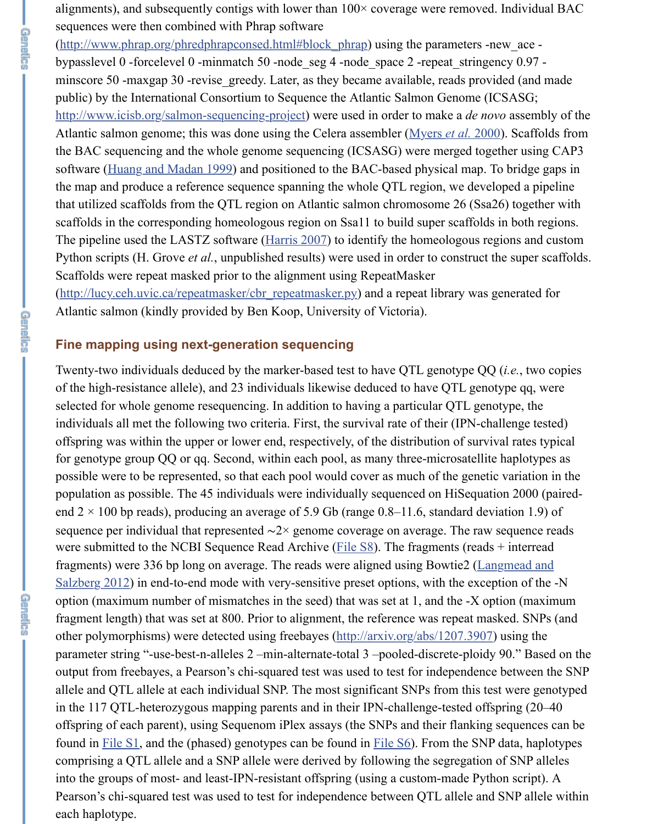alignments), and subsequently contigs with lower than  $100\times$  coverage were removed. Individual BAC sequences were then combined with Phrap software

[\(http://www.phrap.org/phredphrapconsed.html#block\\_phrap](http://www.phrap.org/phredphrapconsed.html#block_phrap)) using the parameters -new ace bypasslevel 0 -forcelevel 0 -minmatch 50 -node\_seg 4 -node\_space 2 -repeat\_stringency 0.97 minscore 50 -maxgap 30 -revise\_greedy. Later, as they became available, reads provided (and made public) by the International Consortium to Sequence the Atlantic Salmon Genome (ICSASG; [http://www.icisb.org/salmon-sequencing-project\)](http://www.icisb.org/salmon-sequencing-project) were used in order to make a *de novo* assembly of the Atlantic salmon genome; this was done using the Celera assembler ([Myers](https://www.ncbi.nlm.nih.gov/pmc/articles/PMC4574245/#bib30) *et al.* 2000). Scaffolds from the BAC sequencing and the whole genome sequencing (ICSASG) were merged together using CAP3 software [\(Huang and Madan 1999](https://www.ncbi.nlm.nih.gov/pmc/articles/PMC4574245/#bib19)) and positioned to the BAC-based physical map. To bridge gaps in the map and produce a reference sequence spanning the whole QTL region, we developed a pipeline that utilized scaffolds from the QTL region on Atlantic salmon chromosome 26 (Ssa26) together with scaffolds in the corresponding homeologous region on Ssa11 to build super scaffolds in both regions. The pipeline used the LASTZ software (*Harris 2007*) to identify the homeologous regions and custom Python scripts (H. Grove *et al.*, unpublished results) were used in order to construct the super scaffolds. Scaffolds were repeat masked prior to the alignment using RepeatMasker [\(http://lucy.ceh.uvic.ca/repeatmasker/cbr\\_repeatmasker.py\)](http://lucy.ceh.uvic.ca/repeatmasker/cbr_repeatmasker.py) and a repeat library was generated for

#### **Fine mapping using next-generation sequencing**

Atlantic salmon (kindly provided by Ben Koop, University of Victoria).

Twenty-two individuals deduced by the marker-based test to have QTL genotype QQ (*i.e.*, two copies of the high-resistance allele), and 23 individuals likewise deduced to have QTL genotype qq, were selected for whole genome resequencing. In addition to having a particular QTL genotype, the individuals all met the following two criteria. First, the survival rate of their (IPN-challenge tested) offspring was within the upper or lower end, respectively, of the distribution of survival rates typical for genotype group QQ or qq. Second, within each pool, as many three-microsatellite haplotypes as possible were to be represented, so that each pool would cover as much of the genetic variation in the population as possible. The 45 individuals were individually sequenced on HiSequation 2000 (pairedend  $2 \times 100$  bp reads), producing an average of 5.9 Gb (range 0.8–11.6, standard deviation 1.9) of sequence per individual that represented ∼2× genome coverage on average. The raw sequence reads were submitted to the NCBI Sequence Read Archive (*File S8*). The fragments (reads + interread [fragments\) were 336 bp long on average. The reads were aligned using Bowtie2 \(Langmead and](https://www.ncbi.nlm.nih.gov/pmc/articles/PMC4574245/#bib22) Salzberg 2012) in end-to-end mode with very-sensitive preset options, with the exception of the -N option (maximum number of mismatches in the seed) that was set at 1, and the -X option (maximum fragment length) that was set at 800. Prior to alignment, the reference was repeat masked. SNPs (and other polymorphisms) were detected using freebayes [\(http://arxiv.org/abs/1207.3907\)](http://arxiv.org/abs/1207.3907) using the parameter string "-use-best-n-alleles 2 –min-alternate-total 3 –pooled-discrete-ploidy 90." Based on the output from freebayes, a Pearson's chi-squared test was used to test for independence between the SNP allele and QTL allele at each individual SNP. The most significant SNPs from this test were genotyped in the 117 QTL-heterozygous mapping parents and in their IPN-challenge-tested offspring (20–40 offspring of each parent), using Sequenom iPlex assays (the SNPs and their flanking sequences can be found in [File S1](http://www.genetics.org/lookup/suppl/doi:10.1534/genetics.115.175406/-/DC1/genetics.115.175406-1.txt), and the (phased) genotypes can be found in [File S6\)](http://www.genetics.org/lookup/suppl/doi:10.1534/genetics.115.175406/-/DC1/genetics.115.175406-7.txt). From the SNP data, haplotypes comprising a QTL allele and a SNP allele were derived by following the segregation of SNP alleles into the groups of most- and least-IPN-resistant offspring (using a custom-made Python script). A Pearson's chi-squared test was used to test for independence between QTL allele and SNP allele within each haplotype.

命令不可可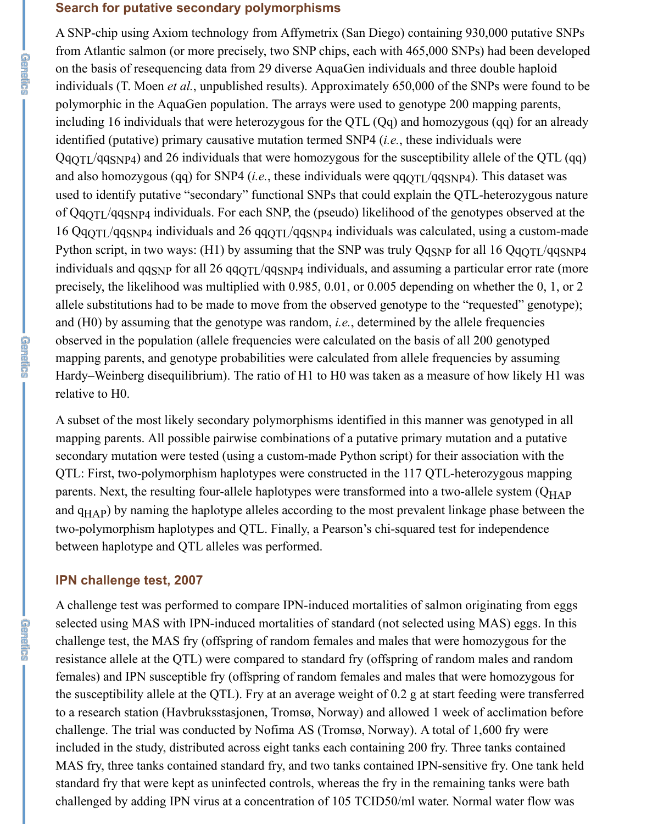#### **Search for putative secondary polymorphisms**

A SNP-chip using Axiom technology from Affymetrix (San Diego) containing 930,000 putative SNPs from Atlantic salmon (or more precisely, two SNP chips, each with 465,000 SNPs) had been developed on the basis of resequencing data from 29 diverse AquaGen individuals and three double haploid individuals (T. Moen *et al.*, unpublished results). Approximately 650,000 of the SNPs were found to be polymorphic in the AquaGen population. The arrays were used to genotype 200 mapping parents, including 16 individuals that were heterozygous for the QTL (Qq) and homozygous (qq) for an already identified (putative) primary causative mutation termed SNP4 (*i.e.*, these individuals were  $QqQTL/qqSNP4$ ) and 26 individuals that were homozygous for the susceptibility allele of the QTL (qq) and also homozygous (qq) for SNP4 (*i.e.*, these individuals were  $qqQTL/qqSNP4$ ). This dataset was used to identify putative "secondary" functional SNPs that could explain the QTL-heterozygous nature of  $QqqTT/qqSNP4$  individuals. For each SNP, the (pseudo) likelihood of the genotypes observed at the 16  $QqQTL/qqSNP4$  individuals and 26  $qqQTL/qqSNP4$  individuals was calculated, using a custom-made Python script, in two ways: (H1) by assuming that the SNP was truly  $Qq_{SNP}$  for all 16  $Qq_{QTL}/qq_{SNP4}$ individuals and  $qq_{SNP}$  for all 26  $qq_{QTL}/qq_{SNP4}$  individuals, and assuming a particular error rate (more precisely, the likelihood was multiplied with 0.985, 0.01, or 0.005 depending on whether the 0, 1, or 2 allele substitutions had to be made to move from the observed genotype to the "requested" genotype); and (H0) by assuming that the genotype was random, *i.e.*, determined by the allele frequencies observed in the population (allele frequencies were calculated on the basis of all 200 genotyped mapping parents, and genotype probabilities were calculated from allele frequencies by assuming Hardy–Weinberg disequilibrium). The ratio of H1 to H0 was taken as a measure of how likely H1 was relative to H0.

A subset of the most likely secondary polymorphisms identified in this manner was genotyped in all mapping parents. All possible pairwise combinations of a putative primary mutation and a putative secondary mutation were tested (using a custom-made Python script) for their association with the QTL: First, two-polymorphism haplotypes were constructed in the 117 QTL-heterozygous mapping parents. Next, the resulting four-allele haplotypes were transformed into a two-allele system (Q<sub>HAP</sub>) and q<sub>HAP</sub>) by naming the haplotype alleles according to the most prevalent linkage phase between the two-polymorphism haplotypes and QTL. Finally, a Pearson's chi-squared test for independence between haplotype and QTL alleles was performed.

## **IPN challenge test, 2007**

A challenge test was performed to compare IPN-induced mortalities of salmon originating from eggs selected using MAS with IPN-induced mortalities of standard (not selected using MAS) eggs. In this challenge test, the MAS fry (offspring of random females and males that were homozygous for the resistance allele at the QTL) were compared to standard fry (offspring of random males and random females) and IPN susceptible fry (offspring of random females and males that were homozygous for the susceptibility allele at the QTL). Fry at an average weight of 0.2 g at start feeding were transferred to a research station (Havbruksstasjonen, Tromsø, Norway) and allowed 1 week of acclimation before challenge. The trial was conducted by Nofima AS (Tromsø, Norway). A total of 1,600 fry were included in the study, distributed across eight tanks each containing 200 fry. Three tanks contained MAS fry, three tanks contained standard fry, and two tanks contained IPN-sensitive fry. One tank held standard fry that were kept as uninfected controls, whereas the fry in the remaining tanks were bath challenged by adding IPN virus at a concentration of 105 TCID50/ml water. Normal water flow was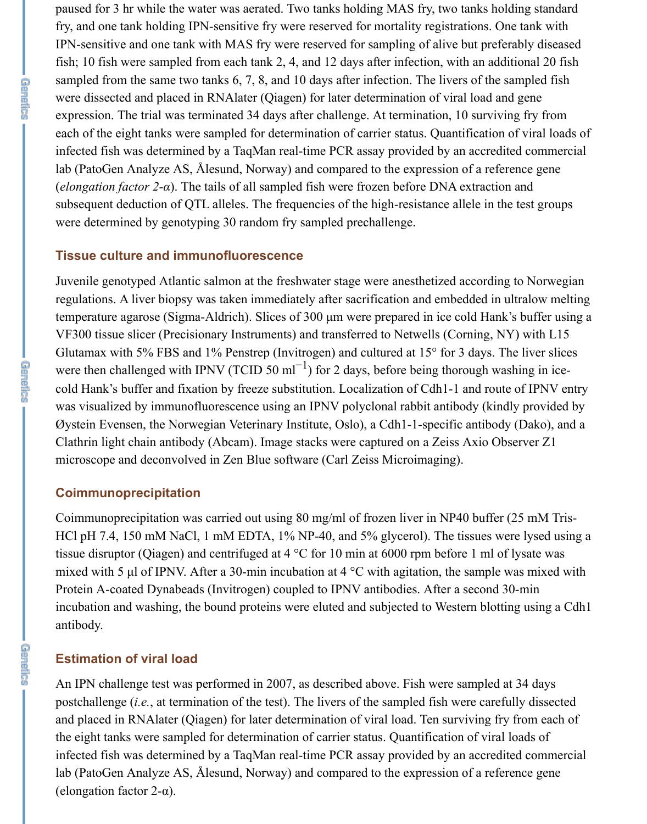paused for 3 hr while the water was aerated. Two tanks holding MAS fry, two tanks holding standard fry, and one tank holding IPN-sensitive fry were reserved for mortality registrations. One tank with IPN-sensitive and one tank with MAS fry were reserved for sampling of alive but preferably diseased fish; 10 fish were sampled from each tank 2, 4, and 12 days after infection, with an additional 20 fish sampled from the same two tanks 6, 7, 8, and 10 days after infection. The livers of the sampled fish were dissected and placed in RNAlater (Qiagen) for later determination of viral load and gene expression. The trial was terminated 34 days after challenge. At termination, 10 surviving fry from each of the eight tanks were sampled for determination of carrier status. Quantification of viral loads of infected fish was determined by a TaqMan real-time PCR assay provided by an accredited commercial lab (PatoGen Analyze AS, Ålesund, Norway) and compared to the expression of a reference gene (*elongation factor 2-α*). The tails of all sampled fish were frozen before DNA extraction and subsequent deduction of QTL alleles. The frequencies of the high-resistance allele in the test groups were determined by genotyping 30 random fry sampled prechallenge.

#### **Tissue culture and immunofluorescence**

Juvenile genotyped Atlantic salmon at the freshwater stage were anesthetized according to Norwegian regulations. A liver biopsy was taken immediately after sacrification and embedded in ultralow melting temperature agarose (Sigma-Aldrich). Slices of 300 µm were prepared in ice cold Hank's buffer using a VF300 tissue slicer (Precisionary Instruments) and transferred to Netwells (Corning, NY) with L15 Glutamax with 5% FBS and 1% Penstrep (Invitrogen) and cultured at 15° for 3 days. The liver slices were then challenged with IPNV (TCID 50 ml<sup>-1</sup>) for 2 days, before being thorough washing in icecold Hank's buffer and fixation by freeze substitution. Localization of Cdh1-1 and route of IPNV entry was visualized by immunofluorescence using an IPNV polyclonal rabbit antibody (kindly provided by Øystein Evensen, the Norwegian Veterinary Institute, Oslo), a Cdh1-1-specific antibody (Dako), and a Clathrin light chain antibody (Abcam). Image stacks were captured on a Zeiss Axio Observer Z1 microscope and deconvolved in Zen Blue software (Carl Zeiss Microimaging).

#### **Coimmunoprecipitation**

Coimmunoprecipitation was carried out using 80 mg/ml of frozen liver in NP40 buffer (25 mM Tris-HCl pH 7.4, 150 mM NaCl, 1 mM EDTA, 1% NP-40, and 5% glycerol). The tissues were lysed using a tissue disruptor (Qiagen) and centrifuged at 4 °C for 10 min at 6000 rpm before 1 ml of lysate was mixed with 5  $\mu$ l of IPNV. After a 30-min incubation at 4 °C with agitation, the sample was mixed with Protein A-coated Dynabeads (Invitrogen) coupled to IPNV antibodies. After a second 30-min incubation and washing, the bound proteins were eluted and subjected to Western blotting using a Cdh1 antibody.

#### **Estimation of viral load**

An IPN challenge test was performed in 2007, as described above. Fish were sampled at 34 days postchallenge (*i.e.*, at termination of the test). The livers of the sampled fish were carefully dissected and placed in RNAlater (Qiagen) for later determination of viral load. Ten surviving fry from each of the eight tanks were sampled for determination of carrier status. Quantification of viral loads of infected fish was determined by a TaqMan real-time PCR assay provided by an accredited commercial lab (PatoGen Analyze AS, Ålesund, Norway) and compared to the expression of a reference gene (elongation factor  $2-\alpha$ ).

**GREER**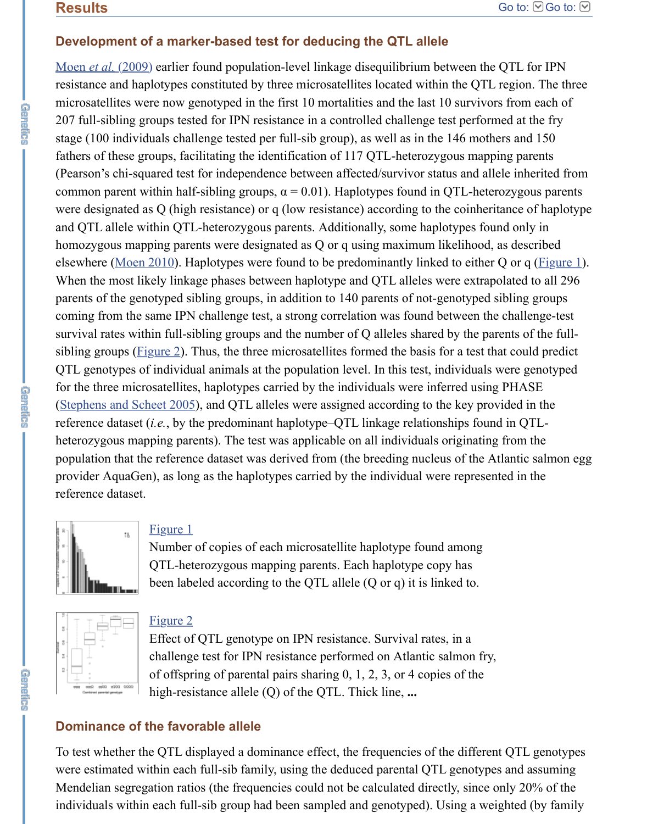# **Development of a marker-based test for deducing the QTL allele**

Moen *et al.* [\(2009\)](https://www.ncbi.nlm.nih.gov/pmc/articles/PMC4574245/#bib26) earlier found population-level linkage disequilibrium between the QTL for IPN resistance and haplotypes constituted by three microsatellites located within the QTL region. The three microsatellites were now genotyped in the first 10 mortalities and the last 10 survivors from each of 207 full-sibling groups tested for IPN resistance in a controlled challenge test performed at the fry stage (100 individuals challenge tested per full-sib group), as well as in the 146 mothers and 150 fathers of these groups, facilitating the identification of 117 QTL-heterozygous mapping parents (Pearson's chi-squared test for independence between affected/survivor status and allele inherited from common parent within half-sibling groups,  $\alpha = 0.01$ ). Haplotypes found in QTL-heterozygous parents were designated as Q (high resistance) or q (low resistance) according to the coinheritance of haplotype and QTL allele within QTL-heterozygous parents. Additionally, some haplotypes found only in homozygous mapping parents were designated as Q or q using maximum likelihood, as described elsewhere [\(Moen 2010](https://www.ncbi.nlm.nih.gov/pmc/articles/PMC4574245/#bib27)). Haplotypes were found to be predominantly linked to either Q or q (*Figure 1*). When the most likely linkage phases between haplotype and QTL alleles were extrapolated to all 296 parents of the genotyped sibling groups, in addition to 140 parents of not-genotyped sibling groups coming from the same IPN challenge test, a strong correlation was found between the challenge-test survival rates within full-sibling groups and the number of Q alleles shared by the parents of the fullsibling groups (**Figure 2**). Thus, the three microsatellites formed the basis for a test that could predict QTL genotypes of individual animals at the population level. In this test, individuals were genotyped for the three microsatellites, haplotypes carried by the individuals were inferred using PHASE [\(Stephens and Scheet 2005\)](https://www.ncbi.nlm.nih.gov/pmc/articles/PMC4574245/#bib40), and QTL alleles were assigned according to the key provided in the reference dataset (*i.e.*, by the predominant haplotype–QTL linkage relationships found in QTLheterozygous mapping parents). The test was applicable on all individuals originating from the population that the reference dataset was derived from (the breeding nucleus of the Atlantic salmon egg provider AquaGen), as long as the haplotypes carried by the individual were represented in the reference dataset.



# [Figure 1](https://www.ncbi.nlm.nih.gov/pmc/articles/PMC4574245/figure/fig1/)

Number of copies of each microsatellite haplotype found among QTL-heterozygous mapping parents. Each haplotype copy has been labeled according to the QTL allele (Q or q) it is linked to.



命令不可不可

## [Figure 2](https://www.ncbi.nlm.nih.gov/pmc/articles/PMC4574245/figure/fig2/)

Effect of QTL genotype on IPN resistance. Survival rates, in a challenge test for IPN resistance performed on Atlantic salmon fry, of offspring of parental pairs sharing 0, 1, 2, 3, or 4 copies of the high-resistance allele (Q) of the QTL. Thick line, **...**

# **Dominance of the favorable allele**

To test whether the QTL displayed a dominance effect, the frequencies of the different QTL genotypes were estimated within each full-sib family, using the deduced parental QTL genotypes and assuming Mendelian segregation ratios (the frequencies could not be calculated directly, since only 20% of the individuals within each full-sib group had been sampled and genotyped). Using a weighted (by family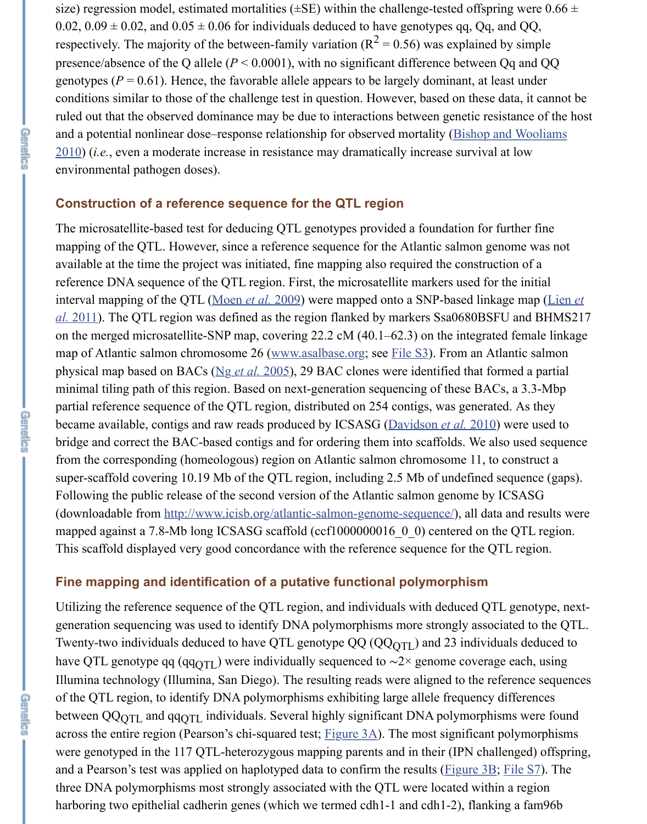size) regression model, estimated mortalities ( $\pm$ SE) within the challenge-tested offspring were 0.66  $\pm$ 0.02,  $0.09 \pm 0.02$ , and  $0.05 \pm 0.06$  for individuals deduced to have genotypes qq, Qq, and QQ, respectively. The majority of the between-family variation ( $R^2 = 0.56$ ) was explained by simple presence/absence of the Q allele (*P* < 0.0001), with no significant difference between Qq and QQ genotypes ( $P = 0.61$ ). Hence, the favorable allele appears to be largely dominant, at least under conditions similar to those of the challenge test in question. However, based on these data, it cannot be ruled out that the observed dominance may be due to interactions between genetic resistance of the host [and a potential nonlinear dose–response relationship for observed mortality \(Bishop and Wooliams](https://www.ncbi.nlm.nih.gov/pmc/articles/PMC4574245/#bib4) 2010) (*i.e.*, even a moderate increase in resistance may dramatically increase survival at low environmental pathogen doses).

# **Construction of a reference sequence for the QTL region**

**GATESTS** 

6触了触觉的 1

医尿子尿量尿的

The microsatellite-based test for deducing QTL genotypes provided a foundation for further fine mapping of the QTL. However, since a reference sequence for the Atlantic salmon genome was not available at the time the project was initiated, fine mapping also required the construction of a reference DNA sequence of the QTL region. First, the microsatellite markers used for the initial interval mapping of the QTL [\(Moen](https://www.ncbi.nlm.nih.gov/pmc/articles/PMC4574245/#bib26) *et al.* 2009) were mapped onto a SNP-based linkage map (Lien *et al.* [2011\). The QTL region was defined as the region flanked by markers Ssa0680BSFU and BHMS21](https://www.ncbi.nlm.nih.gov/pmc/articles/PMC4574245/#bib24)7 on the merged microsatellite-SNP map, covering 22.2 cM (40.1–62.3) on the integrated female linkage map of Atlantic salmon chromosome 26 [\(www.asalbase.org](http://www.asalbase.org/); see [File S3](http://www.genetics.org/lookup/suppl/doi:10.1534/genetics.115.175406/-/DC1/genetics.115.175406-5.txt)). From an Atlantic salmon physical map based on BACs (Ng *et al.* [2005](https://www.ncbi.nlm.nih.gov/pmc/articles/PMC4574245/#bib31)), 29 BAC clones were identified that formed a partial minimal tiling path of this region. Based on next-generation sequencing of these BACs, a 3.3-Mbp partial reference sequence of the QTL region, distributed on 254 contigs, was generated. As they became available, contigs and raw reads produced by ICSASG [\(Davidson](https://www.ncbi.nlm.nih.gov/pmc/articles/PMC4574245/#bib7) *et al.* 2010) were used to bridge and correct the BAC-based contigs and for ordering them into scaffolds. We also used sequence from the corresponding (homeologous) region on Atlantic salmon chromosome 11, to construct a super-scaffold covering 10.19 Mb of the QTL region, including 2.5 Mb of undefined sequence (gaps). Following the public release of the second version of the Atlantic salmon genome by ICSASG (downloadable from [http://www.icisb.org/atlantic-salmon-genome-sequence/\)](http://www.icisb.org/atlantic-salmon-genome-sequence/), all data and results were mapped against a 7.8-Mb long ICSASG scaffold (ccf1000000016\_0\_0) centered on the QTL region. This scaffold displayed very good concordance with the reference sequence for the QTL region.

## **Fine mapping and identification of a putative functional polymorphism**

Utilizing the reference sequence of the QTL region, and individuals with deduced QTL genotype, nextgeneration sequencing was used to identify DNA polymorphisms more strongly associated to the QTL. Twenty-two individuals deduced to have QTL genotype QQ (QQ<sub>QTL</sub>) and 23 individuals deduced to have QTL genotype qq (qq<sub>QTL</sub>) were individually sequenced to  $\sim$ 2× genome coverage each, using Illumina technology (Illumina, San Diego). The resulting reads were aligned to the reference sequences of the QTL region, to identify DNA polymorphisms exhibiting large allele frequency differences between  $QQQQTL}$  and  $qqQTL$  individuals. Several highly significant DNA polymorphisms were found across the entire region (Pearson's chi-squared test; [Figure 3A\)](https://www.ncbi.nlm.nih.gov/pmc/articles/PMC4574245/figure/fig3/). The most significant polymorphisms were genotyped in the 117 QTL-heterozygous mapping parents and in their (IPN challenged) offspring, and a Pearson's test was applied on haplotyped data to confirm the results ([Figure 3B](https://www.ncbi.nlm.nih.gov/pmc/articles/PMC4574245/figure/fig3/); [File S7\)](http://www.genetics.org/lookup/suppl/doi:10.1534/genetics.115.175406/-/DC1/genetics.115.175406-6.txt). The three DNA polymorphisms most strongly associated with the QTL were located within a region harboring two epithelial cadherin genes (which we termed cdh1-1 and cdh1-2), flanking a fam96b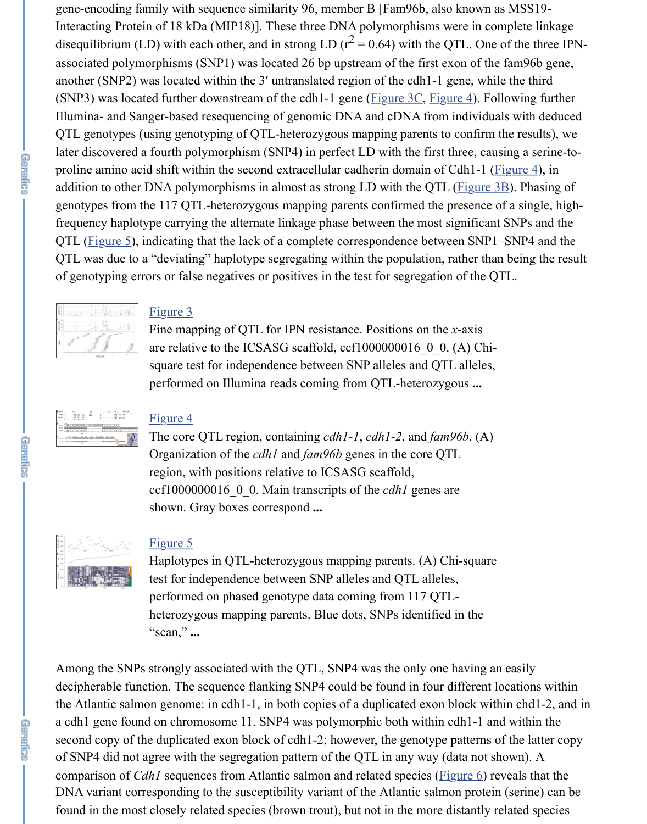gene-encoding family with sequence similarity 96, member B [Fam96b, also known as MSS19- Interacting Protein of 18 kDa (MIP18)]. These three DNA polymorphisms were in complete linkage disequilibrium (LD) with each other, and in strong LD ( $r^2$  = 0.64) with the QTL. One of the three IPNassociated polymorphisms (SNP1) was located 26 bp upstream of the first exon of the fam96b gene, another (SNP2) was located within the 3′ untranslated region of the cdh1-1 gene, while the third (SNP3) was located further downstream of the cdh1-1 gene ( $Figure 3C$ ,  $Figure 4$ ). Following further Illumina- and Sanger-based resequencing of genomic DNA and cDNA from individuals with deduced QTL genotypes (using genotyping of QTL-heterozygous mapping parents to confirm the results), we later discovered a fourth polymorphism (SNP4) in perfect LD with the first three, causing a serine-to-proline amino acid shift within the second extracellular cadherin domain of Cdh1-1 ([Figure 4\)](https://www.ncbi.nlm.nih.gov/pmc/articles/PMC4574245/figure/fig4/), in addition to other DNA polymorphisms in almost as strong LD with the QTL [\(Figure 3B\)](https://www.ncbi.nlm.nih.gov/pmc/articles/PMC4574245/figure/fig3/). Phasing of genotypes from the 117 QTL-heterozygous mapping parents confirmed the presence of a single, highfrequency haplotype carrying the alternate linkage phase between the most significant SNPs and the QTL ([Figure 5](https://www.ncbi.nlm.nih.gov/pmc/articles/PMC4574245/figure/fig5/)), indicating that the lack of a complete correspondence between SNP1–SNP4 and the QTL was due to a "deviating" haplotype segregating within the population, rather than being the result of genotyping errors or false negatives or positives in the test for segregation of the QTL.



## [Figure 3](https://www.ncbi.nlm.nih.gov/pmc/articles/PMC4574245/figure/fig3/)

Fine mapping of QTL for IPN resistance. Positions on the *x*-axis are relative to the ICSASG scaffold, ccf1000000016\_0\_0. (A) Chisquare test for independence between SNP alleles and QTL alleles, performed on Illumina reads coming from QTL-heterozygous **...**

| 10 00 1000000 00000 1000 1000 |             |                                      |  |
|-------------------------------|-------------|--------------------------------------|--|
| <b>COLE LATER QUE.</b>        |             | $I = I \cap I = I = I \cap I \cap I$ |  |
|                               | <b>BER </b> |                                      |  |

## [Figure 4](https://www.ncbi.nlm.nih.gov/pmc/articles/PMC4574245/figure/fig4/)

The core QTL region, containing *cdh1-1*, *cdh1-2*, and *fam96b*. (A) Organization of the *cdh1* and *fam96b* genes in the core QTL region, with positions relative to ICSASG scaffold, ccf1000000016\_0\_0. Main transcripts of the *cdh1* genes are shown. Gray boxes correspond **...**



## [Figure 5](https://www.ncbi.nlm.nih.gov/pmc/articles/PMC4574245/figure/fig5/)

Haplotypes in QTL-heterozygous mapping parents. (A) Chi-square test for independence between SNP alleles and QTL alleles, performed on phased genotype data coming from 117 QTLheterozygous mapping parents. Blue dots, SNPs identified in the "scan," **...**

Among the SNPs strongly associated with the QTL, SNP4 was the only one having an easily decipherable function. The sequence flanking SNP4 could be found in four different locations within the Atlantic salmon genome: in cdh1-1, in both copies of a duplicated exon block within chd1-2, and in a cdh1 gene found on chromosome 11. SNP4 was polymorphic both within cdh1-1 and within the second copy of the duplicated exon block of cdh1-2; however, the genotype patterns of the latter copy of SNP4 did not agree with the segregation pattern of the QTL in any way (data not shown). A comparison of *Cdh1* sequences from Atlantic salmon and related species [\(Figure 6](https://www.ncbi.nlm.nih.gov/pmc/articles/PMC4574245/figure/fig6/)) reveals that the DNA variant corresponding to the susceptibility variant of the Atlantic salmon protein (serine) can be found in the most closely related species (brown trout), but not in the more distantly related species

原地方的方法

命無語言語

**GREECHE**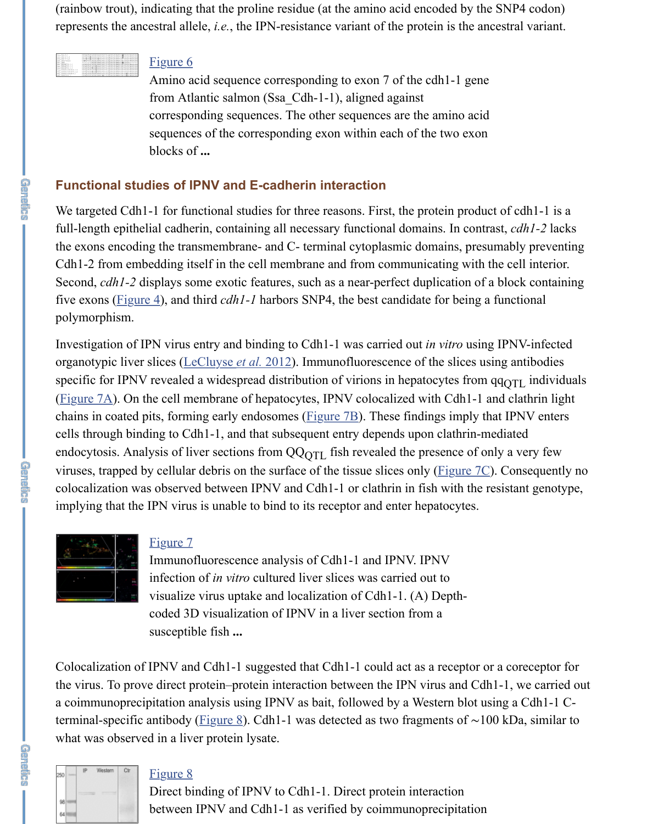(rainbow trout), indicating that the proline residue (at the amino acid encoded by the SNP4 codon) represents the ancestral allele, *i.e.*, the IPN-resistance variant of the protein is the ancestral variant.

[Figure 6](https://www.ncbi.nlm.nih.gov/pmc/articles/PMC4574245/figure/fig6/) Amino acid sequence corresponding to exon 7 of the cdh1-1 gene from Atlantic salmon (Ssa\_Cdh-1-1), aligned against corresponding sequences. The other sequences are the amino acid sequences of the corresponding exon within each of the two exon blocks of **...**

## **Functional studies of IPNV and E-cadherin interaction**

We targeted Cdh1-1 for functional studies for three reasons. First, the protein product of cdh1-1 is a full-length epithelial cadherin, containing all necessary functional domains. In contrast, *cdh1-2* lacks the exons encoding the transmembrane- and C- terminal cytoplasmic domains, presumably preventing Cdh1-2 from embedding itself in the cell membrane and from communicating with the cell interior. Second, *cdh1-2* displays some exotic features, such as a near-perfect duplication of a block containing five exons [\(Figure 4](https://www.ncbi.nlm.nih.gov/pmc/articles/PMC4574245/figure/fig4/)), and third *cdh1-1* harbors SNP4, the best candidate for being a functional polymorphism.

Investigation of IPN virus entry and binding to Cdh1-1 was carried out *in vitro* using IPNV-infected organotypic liver slices [\(LeCluyse](https://www.ncbi.nlm.nih.gov/pmc/articles/PMC4574245/#bib23) *et al.* 2012). Immunofluorescence of the slices using antibodies specific for IPNV revealed a widespread distribution of virions in hepatocytes from  $qq_{\text{QTL}}$  individuals [\(Figure 7A](https://www.ncbi.nlm.nih.gov/pmc/articles/PMC4574245/figure/fig7/)). On the cell membrane of hepatocytes, IPNV colocalized with Cdh1-1 and clathrin light chains in coated pits, forming early endosomes (*[Figure 7B](https://www.ncbi.nlm.nih.gov/pmc/articles/PMC4574245/figure/fig7/)*). These findings imply that IPNV enters cells through binding to Cdh1-1, and that subsequent entry depends upon clathrin-mediated endocytosis. Analysis of liver sections from  $QQ_{\text{QTL}}$  fish revealed the presence of only a very few viruses, trapped by cellular debris on the surface of the tissue slices only ([Figure 7C\)](https://www.ncbi.nlm.nih.gov/pmc/articles/PMC4574245/figure/fig7/). Consequently no colocalization was observed between IPNV and Cdh1-1 or clathrin in fish with the resistant genotype, implying that the IPN virus is unable to bind to its receptor and enter hepatocytes.



## [Figure 7](https://www.ncbi.nlm.nih.gov/pmc/articles/PMC4574245/figure/fig7/)

Immunofluorescence analysis of Cdh1-1 and IPNV. IPNV infection of *in vitro* cultured liver slices was carried out to visualize virus uptake and localization of Cdh1-1. (A) Depthcoded 3D visualization of IPNV in a liver section from a susceptible fish **...**

Colocalization of IPNV and Cdh1-1 suggested that Cdh1-1 could act as a receptor or a coreceptor for the virus. To prove direct protein–protein interaction between the IPN virus and Cdh1-1, we carried out a coimmunoprecipitation analysis using IPNV as bait, followed by a Western blot using a Cdh1-1 Cterminal-specific antibody [\(Figure 8](https://www.ncbi.nlm.nih.gov/pmc/articles/PMC4574245/figure/fig8/)). Cdh1-1 was detected as two fragments of ∼100 kDa, similar to what was observed in a liver protein lysate.



## [Figure 8](https://www.ncbi.nlm.nih.gov/pmc/articles/PMC4574245/figure/fig8/)

Direct binding of IPNV to Cdh1-1. Direct protein interaction between IPNV and Cdh1-1 as verified by coimmunoprecipitation

**GREECE**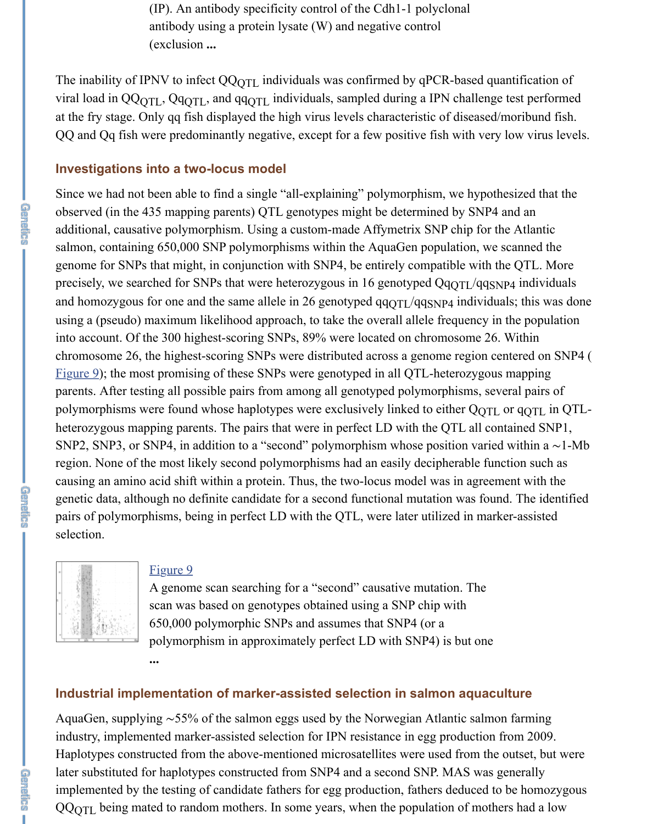(IP). An antibody specificity control of the Cdh1-1 polyclonal antibody using a protein lysate (W) and negative control (exclusion **...**

The inability of IPNV to infect  $QQ_{QTL}$  individuals was confirmed by qPCR-based quantification of viral load in QQ<sub>QTL</sub>, Qq<sub>QTL</sub>, and qq<sub>QTL</sub> individuals, sampled during a IPN challenge test performed at the fry stage. Only qq fish displayed the high virus levels characteristic of diseased/moribund fish. QQ and Qq fish were predominantly negative, except for a few positive fish with very low virus levels.

#### **Investigations into a two-locus model**

Since we had not been able to find a single "all-explaining" polymorphism, we hypothesized that the observed (in the 435 mapping parents) QTL genotypes might be determined by SNP4 and an additional, causative polymorphism. Using a custom-made Affymetrix SNP chip for the Atlantic salmon, containing 650,000 SNP polymorphisms within the AquaGen population, we scanned the genome for SNPs that might, in conjunction with SNP4, be entirely compatible with the QTL. More precisely, we searched for SNPs that were heterozygous in 16 genotyped  $QqQTL/qqSNP4$  individuals and homozygous for one and the same allele in 26 genotyped  $qqqqTL/qqSNP4$  individuals; this was done using a (pseudo) maximum likelihood approach, to take the overall allele frequency in the population into account. Of the 300 highest-scoring SNPs, 89% were located on chromosome 26. Within chromosome 26, the highest-scoring SNPs were distributed across a genome region centered on SNP4 ( [Figure 9\)](https://www.ncbi.nlm.nih.gov/pmc/articles/PMC4574245/figure/fig9/); the most promising of these SNPs were genotyped in all QTL-heterozygous mapping parents. After testing all possible pairs from among all genotyped polymorphisms, several pairs of polymorphisms were found whose haplotypes were exclusively linked to either  $\rm QQTL$  or  $\rm qQTL$  in  $\rm QTL$ heterozygous mapping parents. The pairs that were in perfect LD with the QTL all contained SNP1, SNP2, SNP3, or SNP4, in addition to a "second" polymorphism whose position varied within a ∼1-Mb region. None of the most likely second polymorphisms had an easily decipherable function such as causing an amino acid shift within a protein. Thus, the two-locus model was in agreement with the genetic data, although no definite candidate for a second functional mutation was found. The identified pairs of polymorphisms, being in perfect LD with the QTL, were later utilized in marker-assisted selection.



# [Figure 9](https://www.ncbi.nlm.nih.gov/pmc/articles/PMC4574245/figure/fig9/)

**...**

A genome scan searching for a "second" causative mutation. The scan was based on genotypes obtained using a SNP chip with 650,000 polymorphic SNPs and assumes that SNP4 (or a polymorphism in approximately perfect LD with SNP4) is but one

#### **Industrial implementation of marker-assisted selection in salmon aquaculture**

AquaGen, supplying ∼55% of the salmon eggs used by the Norwegian Atlantic salmon farming industry, implemented marker-assisted selection for IPN resistance in egg production from 2009. Haplotypes constructed from the above-mentioned microsatellites were used from the outset, but were later substituted for haplotypes constructed from SNP4 and a second SNP. MAS was generally implemented by the testing of candidate fathers for egg production, fathers deduced to be homozygous  $QQQTL$  being mated to random mothers. In some years, when the population of mothers had a low

**GREEC**ZS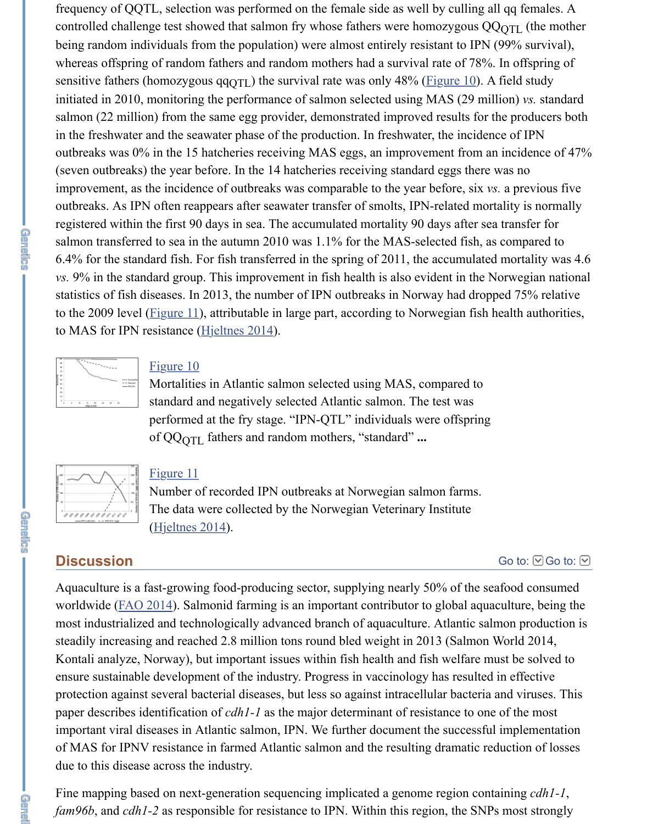frequency of QQTL, selection was performed on the female side as well by culling all qq females. A controlled challenge test showed that salmon fry whose fathers were homozygous  $QQQ_{\rm QTL}$  (the mother being random individuals from the population) were almost entirely resistant to IPN (99% survival), whereas offspring of random fathers and random mothers had a survival rate of 78%. In offspring of sensitive fathers (homozygous qq<sub>QTL</sub>) the survival rate was only 48% ([Figure 10\)](https://www.ncbi.nlm.nih.gov/pmc/articles/PMC4574245/figure/fig10/). A field study initiated in 2010, monitoring the performance of salmon selected using MAS (29 million) *vs.* standard salmon (22 million) from the same egg provider, demonstrated improved results for the producers both in the freshwater and the seawater phase of the production. In freshwater, the incidence of IPN outbreaks was 0% in the 15 hatcheries receiving MAS eggs, an improvement from an incidence of 47% (seven outbreaks) the year before. In the 14 hatcheries receiving standard eggs there was no improvement, as the incidence of outbreaks was comparable to the year before, six *vs.* a previous five outbreaks. As IPN often reappears after seawater transfer of smolts, IPN-related mortality is normally registered within the first 90 days in sea. The accumulated mortality 90 days after sea transfer for salmon transferred to sea in the autumn 2010 was 1.1% for the MAS-selected fish, as compared to 6.4% for the standard fish. For fish transferred in the spring of 2011, the accumulated mortality was 4.6 *vs.* 9% in the standard group. This improvement in fish health is also evident in the Norwegian national statistics of fish diseases. In 2013, the number of IPN outbreaks in Norway had dropped 75% relative to the 2009 level ( $Figure 11$ ), attributable in large part, according to Norwegian fish health authorities, to MAS for IPN resistance ([Hjeltnes 2014](https://www.ncbi.nlm.nih.gov/pmc/articles/PMC4574245/#bib17)).



#### [Figure 10](https://www.ncbi.nlm.nih.gov/pmc/articles/PMC4574245/figure/fig10/)

Mortalities in Atlantic salmon selected using MAS, compared to standard and negatively selected Atlantic salmon. The test was performed at the fry stage. "IPN-QTL" individuals were offspring of QQ<sub>QTL</sub> fathers and random mothers, "standard" ...

| ,,,,,,,,,, |  |
|------------|--|

#### [Figure 11](https://www.ncbi.nlm.nih.gov/pmc/articles/PMC4574245/figure/fig11/)

Number of recorded IPN outbreaks at Norwegian salmon farms. The data were collected by the Norwegian Veterinary Institute [\(Hjeltnes 2014](https://www.ncbi.nlm.nih.gov/pmc/articles/PMC4574245/#bib17)).

## **Discussion**

**CREASE** 

命令局

[Go to:](https://www.ncbi.nlm.nih.gov/pmc/articles/PMC4574245/#)  $\odot$  Go to:  $\odot$ 

Aquaculture is a fast-growing food-producing sector, supplying nearly 50% of the seafood consumed worldwide ([FAO 2014](https://www.ncbi.nlm.nih.gov/pmc/articles/PMC4574245/#bib10)). Salmonid farming is an important contributor to global aquaculture, being the most industrialized and technologically advanced branch of aquaculture. Atlantic salmon production is steadily increasing and reached 2.8 million tons round bled weight in 2013 (Salmon World 2014, Kontali analyze, Norway), but important issues within fish health and fish welfare must be solved to ensure sustainable development of the industry. Progress in vaccinology has resulted in effective protection against several bacterial diseases, but less so against intracellular bacteria and viruses. This paper describes identification of *cdh1-1* as the major determinant of resistance to one of the most important viral diseases in Atlantic salmon, IPN. We further document the successful implementation of MAS for IPNV resistance in farmed Atlantic salmon and the resulting dramatic reduction of losses due to this disease across the industry.

Fine mapping based on next-generation sequencing implicated a genome region containing *cdh1-1*, *fam96b*, and *cdh1-2* as responsible for resistance to IPN. Within this region, the SNPs most strongly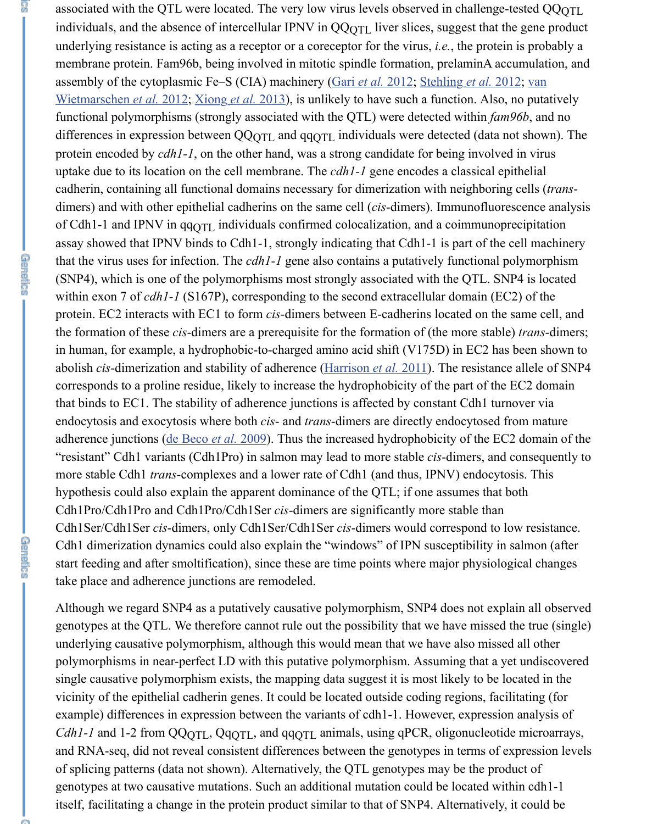associated with the QTL were located. The very low virus levels observed in challenge-tested QQ<sub>QTL</sub> individuals, and the absence of intercellular IPNV in  $QQQTL$  liver slices, suggest that the gene product underlying resistance is acting as a receptor or a coreceptor for the virus, *i.e.*, the protein is probably a membrane protein. Fam96b, being involved in mitotic spindle formation, prelaminA accumulation, and [assembly of the cytoplasmic Fe–S \(CIA\) machinery \(Gari](https://www.ncbi.nlm.nih.gov/pmc/articles/PMC4574245/#bib44) *et al.* [2012;](https://www.ncbi.nlm.nih.gov/pmc/articles/PMC4574245/#bib11) [Stehling](https://www.ncbi.nlm.nih.gov/pmc/articles/PMC4574245/#bib39) *et al.* 2012; van Wietmarschen *et al.* 2012; [Xiong](https://www.ncbi.nlm.nih.gov/pmc/articles/PMC4574245/#bib46) *et al.* 2013), is unlikely to have such a function. Also, no putatively functional polymorphisms (strongly associated with the QTL) were detected within *fam96b*, and no differences in expression between QQ<sub>QTL</sub> and  $qq<sub>QTL</sub>$  individuals were detected (data not shown). The protein encoded by *cdh1-1*, on the other hand, was a strong candidate for being involved in virus uptake due to its location on the cell membrane. The *cdh1-1* gene encodes a classical epithelial cadherin, containing all functional domains necessary for dimerization with neighboring cells (*trans*dimers) and with other epithelial cadherins on the same cell (*cis*-dimers). Immunofluorescence analysis of Cdh1-1 and IPNV in  $qqqTL$  individuals confirmed colocalization, and a coimmunoprecipitation assay showed that IPNV binds to Cdh1-1, strongly indicating that Cdh1-1 is part of the cell machinery that the virus uses for infection. The *cdh1-1* gene also contains a putatively functional polymorphism (SNP4), which is one of the polymorphisms most strongly associated with the QTL. SNP4 is located within exon 7 of *cdh1-1* (S167P), corresponding to the second extracellular domain (EC2) of the protein. EC2 interacts with EC1 to form *cis*-dimers between E-cadherins located on the same cell, and the formation of these *cis*-dimers are a prerequisite for the formation of (the more stable) *trans*-dimers; in human, for example, a hydrophobic-to-charged amino acid shift (V175D) in EC2 has been shown to abolish *cis*-dimerization and stability of adherence [\(Harrison](https://www.ncbi.nlm.nih.gov/pmc/articles/PMC4574245/#bib16) *et al.* 2011). The resistance allele of SNP4 corresponds to a proline residue, likely to increase the hydrophobicity of the part of the EC2 domain that binds to EC1. The stability of adherence junctions is affected by constant Cdh1 turnover via endocytosis and exocytosis where both *cis*- and *trans*-dimers are directly endocytosed from mature adherence junctions ([de Beco](https://www.ncbi.nlm.nih.gov/pmc/articles/PMC4574245/#bib8) *et al.* 2009). Thus the increased hydrophobicity of the EC2 domain of the "resistant" Cdh1 variants (Cdh1Pro) in salmon may lead to more stable *cis*-dimers, and consequently to more stable Cdh1 *trans*-complexes and a lower rate of Cdh1 (and thus, IPNV) endocytosis. This hypothesis could also explain the apparent dominance of the QTL; if one assumes that both Cdh1Pro/Cdh1Pro and Cdh1Pro/Cdh1Ser *cis*-dimers are significantly more stable than Cdh1Ser/Cdh1Ser *cis*-dimers, only Cdh1Ser/Cdh1Ser *cis*-dimers would correspond to low resistance. Cdh1 dimerization dynamics could also explain the "windows" of IPN susceptibility in salmon (after start feeding and after smoltification), since these are time points where major physiological changes take place and adherence junctions are remodeled.

5

**GREER** 

**GREECE** 

Although we regard SNP4 as a putatively causative polymorphism, SNP4 does not explain all observed genotypes at the QTL. We therefore cannot rule out the possibility that we have missed the true (single) underlying causative polymorphism, although this would mean that we have also missed all other polymorphisms in near-perfect LD with this putative polymorphism. Assuming that a yet undiscovered single causative polymorphism exists, the mapping data suggest it is most likely to be located in the vicinity of the epithelial cadherin genes. It could be located outside coding regions, facilitating (for example) differences in expression between the variants of cdh1-1. However, expression analysis of *Cdh1-1* and 1-2 from QQ<sub>QTL</sub>, Qq<sub>QTL</sub>, and qq<sub>QTL</sub> animals, using qPCR, oligonucleotide microarrays, and RNA-seq, did not reveal consistent differences between the genotypes in terms of expression levels of splicing patterns (data not shown). Alternatively, the QTL genotypes may be the product of genotypes at two causative mutations. Such an additional mutation could be located within cdh1-1 itself, facilitating a change in the protein product similar to that of SNP4. Alternatively, it could be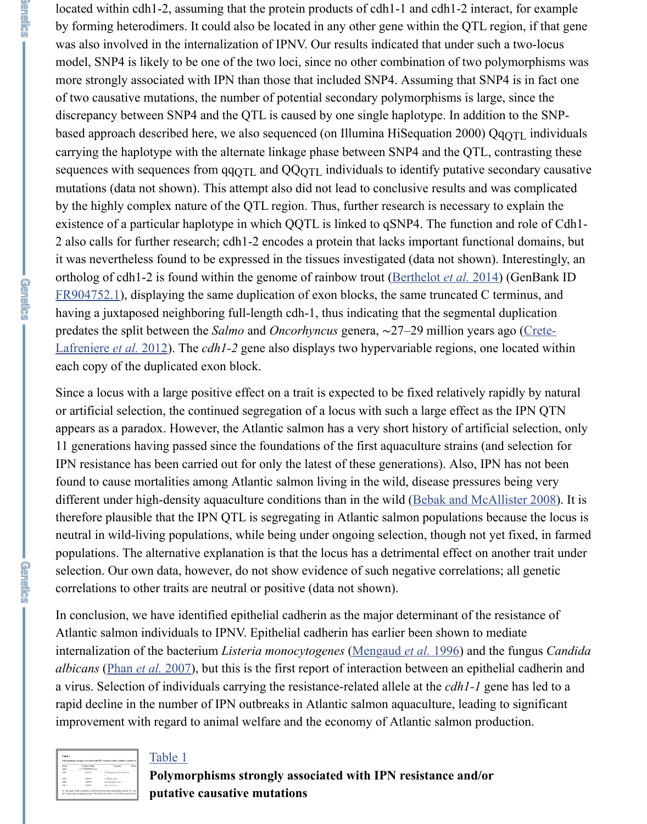located within cdh1-2, assuming that the protein products of cdh1-1 and cdh1-2 interact, for example by forming heterodimers. It could also be located in any other gene within the QTL region, if that gene was also involved in the internalization of IPNV. Our results indicated that under such a two-locus model, SNP4 is likely to be one of the two loci, since no other combination of two polymorphisms was more strongly associated with IPN than those that included SNP4. Assuming that SNP4 is in fact one of two causative mutations, the number of potential secondary polymorphisms is large, since the discrepancy between SNP4 and the QTL is caused by one single haplotype. In addition to the SNPbased approach described here, we also sequenced (on Illumina HiSequation 2000)  $\rm QqQTL$  individuals carrying the haplotype with the alternate linkage phase between SNP4 and the QTL, contrasting these sequences with sequences from  $qqqqTL$  and  $QQqTL$  individuals to identify putative secondary causative mutations (data not shown). This attempt also did not lead to conclusive results and was complicated by the highly complex nature of the QTL region. Thus, further research is necessary to explain the existence of a particular haplotype in which QQTL is linked to qSNP4. The function and role of Cdh1- 2 also calls for further research; cdh1-2 encodes a protein that lacks important functional domains, but it was nevertheless found to be expressed in the tissues investigated (data not shown). Interestingly, an ortholog of cdh1-2 is found within the genome of rainbow trout [\(Berthelot](https://www.ncbi.nlm.nih.gov/pmc/articles/PMC4574245/#bib3) *et al.* 2014) (GenBank ID [FR904752.1](https://www.ncbi.nlm.nih.gov/nuccore/FR904752.1)), displaying the same duplication of exon blocks, the same truncated C terminus, and having a juxtaposed neighboring full-length cdh-1, thus indicating that the segmental duplication predates the split between the *Salmo* and *Oncorhyncus* genera, ∼27–29 million years ago (Crete-Lafreniere *et al.* 2012). The *cdh1-2* [gene also displays two hypervariable regions, one located wit](https://www.ncbi.nlm.nih.gov/pmc/articles/PMC4574245/#bib6)hin each copy of the duplicated exon block.

Since a locus with a large positive effect on a trait is expected to be fixed relatively rapidly by natural or artificial selection, the continued segregation of a locus with such a large effect as the IPN QTN appears as a paradox. However, the Atlantic salmon has a very short history of artificial selection, only 11 generations having passed since the foundations of the first aquaculture strains (and selection for IPN resistance has been carried out for only the latest of these generations). Also, IPN has not been found to cause mortalities among Atlantic salmon living in the wild, disease pressures being very different under high-density aquaculture conditions than in the wild ([Bebak and McAllister 2008\)](https://www.ncbi.nlm.nih.gov/pmc/articles/PMC4574245/#bib2). It is therefore plausible that the IPN QTL is segregating in Atlantic salmon populations because the locus is neutral in wild-living populations, while being under ongoing selection, though not yet fixed, in farmed populations. The alternative explanation is that the locus has a detrimental effect on another trait under selection. Our own data, however, do not show evidence of such negative correlations; all genetic correlations to other traits are neutral or positive (data not shown).

In conclusion, we have identified epithelial cadherin as the major determinant of the resistance of Atlantic salmon individuals to IPNV. Epithelial cadherin has earlier been shown to mediate internalization of the bacterium *Listeria monocytogenes* ([Mengaud](https://www.ncbi.nlm.nih.gov/pmc/articles/PMC4574245/#bib25) *et al.* 1996) and the fungus *Candida albicans* [\(Phan](https://www.ncbi.nlm.nih.gov/pmc/articles/PMC4574245/#bib34) *et al.* 2007), but this is the first report of interaction between an epithelial cadherin and a virus. Selection of individuals carrying the resistance-related allele at the *cdh1-1* gene has led to a rapid decline in the number of IPN outbreaks in Atlantic salmon aquaculture, leading to significant improvement with regard to animal welfare and the economy of Atlantic salmon production.

| Sheet<br><b>SHIP</b> | <b>Fusibles within</b><br>ССТОМИННИЗМ В В | Location                        | Pabu |
|----------------------|-------------------------------------------|---------------------------------|------|
| <b>SNPI</b>          | 4313673                                   | 30 hp spatream of familih exon. |      |
| SNP2                 | 4749 AVE                                  | FIFE of other                   |      |
| 52673                | 4,788005                                  | Dewanteran of calif.1           |      |
| <b>SHP4</b>          | 470/Elen                                  | From 7 of call (-1              |      |

**CENEDES** 

**GREECHE** 

**GATES** 

#### [Table 1](https://www.ncbi.nlm.nih.gov/pmc/articles/PMC4574245/table/t1/)

**Polymorphisms strongly associated with IPN resistance and/or putative causative mutations**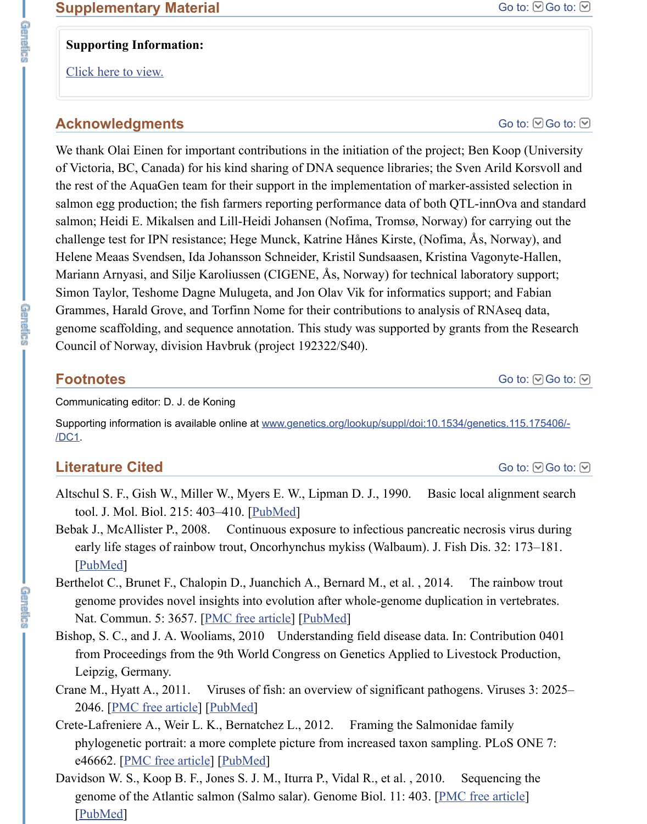## **Supporting Information:**

[Click here to view.](https://www.ncbi.nlm.nih.gov/pmc/articles/PMC4574245/bin/supp_200_4_1313__index.html)

**GREEC** 

命令的法官员

**GAPES** 

# **Acknowledgments**

We thank Olai Einen for important contributions in the initiation of the project; Ben Koop (University of Victoria, BC, Canada) for his kind sharing of DNA sequence libraries; the Sven Arild Korsvoll and the rest of the AquaGen team for their support in the implementation of marker-assisted selection in salmon egg production; the fish farmers reporting performance data of both QTL-innOva and standard salmon; Heidi E. Mikalsen and Lill-Heidi Johansen (Nofima, Tromsø, Norway) for carrying out the challenge test for IPN resistance; Hege Munck, Katrine Hånes Kirste, (Nofima, Ås, Norway), and Helene Meaas Svendsen, Ida Johansson Schneider, Kristil Sundsaasen, Kristina Vagonyte-Hallen, Mariann Arnyasi, and Silje Karoliussen (CIGENE, Ås, Norway) for technical laboratory support; Simon Taylor, Teshome Dagne Mulugeta, and Jon Olav Vik for informatics support; and Fabian Grammes, Harald Grove, and Torfinn Nome for their contributions to analysis of RNAseq data, genome scaffolding, and sequence annotation. This study was supported by grants from the Research Council of Norway, division Havbruk (project 192322/S40).

# **Footnotes**

Communicating editor: D. J. de Koning

[Supporting information is available online at www.genetics.org/lookup/suppl/doi:10.1534/genetics.115.175406/-](http://www.genetics.org/lookup/suppl/doi:10.1534/genetics.115.175406/-/DC1) /DC1.

# **Literature Cited**

- Altschul S. F., Gish W., Miller W., Myers E. W., Lipman D. J., 1990. Basic local alignment search tool. J. Mol. Biol. 215: 403–410. [[PubMed](https://www.ncbi.nlm.nih.gov/pubmed/2231712)]
- Bebak J., McAllister P., 2008. Continuous exposure to infectious pancreatic necrosis virus during early life stages of rainbow trout, Oncorhynchus mykiss (Walbaum). J. Fish Dis. 32: 173–181. [\[PubMed](https://www.ncbi.nlm.nih.gov/pubmed/19261044)]
- Berthelot C., Brunet F., Chalopin D., Juanchich A., Bernard M., et al., 2014. The rainbow trout genome provides novel insights into evolution after whole-genome duplication in vertebrates. Nat. Commun. 5: 3657. [\[PMC free article\]](https://www.ncbi.nlm.nih.gov/pmc/articles/PMC4071752/) [\[PubMed\]](https://www.ncbi.nlm.nih.gov/pubmed/24755649)
- Bishop, S. C., and J. A. Wooliams, 2010 Understanding field disease data. In: Contribution 0401 from Proceedings from the 9th World Congress on Genetics Applied to Livestock Production, Leipzig, Germany.
- Crane M., Hyatt A., 2011. Viruses of fish: an overview of significant pathogens. Viruses 3: 2025– 2046. [\[PMC free article\]](https://www.ncbi.nlm.nih.gov/pmc/articles/PMC3230840/) [\[PubMed\]](https://www.ncbi.nlm.nih.gov/pubmed/22163333)
- Crete-Lafreniere A., Weir L. K., Bernatchez L., 2012. Framing the Salmonidae family phylogenetic portrait: a more complete picture from increased taxon sampling. PLoS ONE 7: e46662. [\[PMC free article\]](https://www.ncbi.nlm.nih.gov/pmc/articles/PMC3465342/) [\[PubMed\]](https://www.ncbi.nlm.nih.gov/pubmed/23071608)
- Davidson W. S., Koop B. F., Jones S. J. M., Iturra P., Vidal R., et al., 2010. Sequencing the genome of the Atlantic salmon (Salmo salar). Genome Biol. 11: 403. [[PMC free article](https://www.ncbi.nlm.nih.gov/pmc/articles/PMC2965382/)] [\[PubMed](https://www.ncbi.nlm.nih.gov/pubmed/20887641)]

[Go to:](https://www.ncbi.nlm.nih.gov/pmc/articles/PMC4574245/#)  $\odot$  Go to:  $\odot$ 

[Go to:](https://www.ncbi.nlm.nih.gov/pmc/articles/PMC4574245/#)  $\odot$  Go to:  $\odot$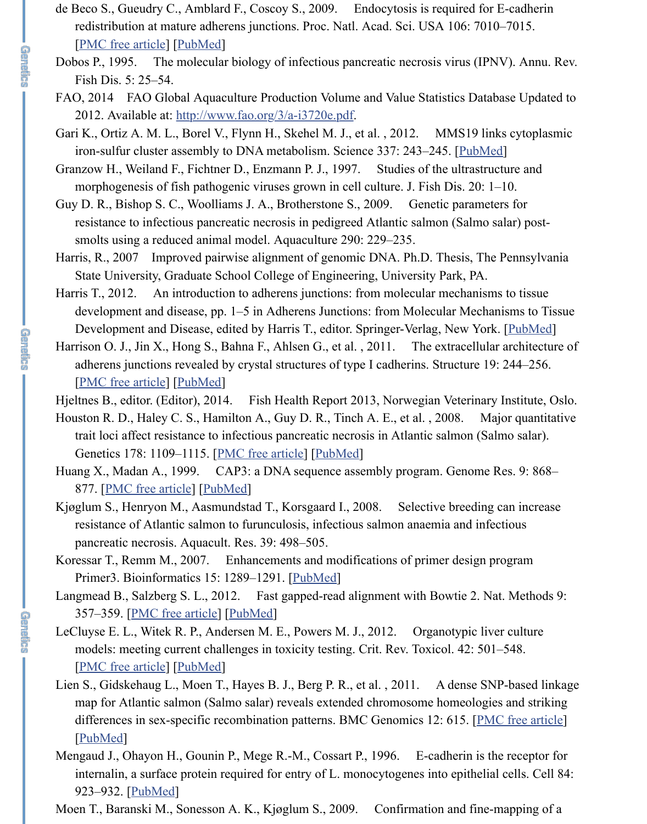de Beco S., Gueudry C., Amblard F., Coscoy S., 2009. Endocytosis is required for E-cadherin redistribution at mature adherens junctions. Proc. Natl. Acad. Sci. USA 106: 7010–7015. [\[PMC free article\]](https://www.ncbi.nlm.nih.gov/pmc/articles/PMC2678428/) [\[PubMed\]](https://www.ncbi.nlm.nih.gov/pubmed/19372377)

**CRAFT** 

**CREASE** 

**CREASE** 

- Dobos P., 1995. The molecular biology of infectious pancreatic necrosis virus (IPNV). Annu. Rev. Fish Dis. 5: 25–54.
- FAO, 2014 FAO Global Aquaculture Production Volume and Value Statistics Database Updated to 2012. Available at: <http://www.fao.org/3/a-i3720e.pdf>.
- Gari K., Ortiz A. M. L., Borel V., Flynn H., Skehel M. J., et al. , 2012. MMS19 links cytoplasmic iron-sulfur cluster assembly to DNA metabolism. Science 337: 243-245. [[PubMed](https://www.ncbi.nlm.nih.gov/pubmed/22678361)]
- Granzow H., Weiland F., Fichtner D., Enzmann P. J., 1997. Studies of the ultrastructure and morphogenesis of fish pathogenic viruses grown in cell culture. J. Fish Dis. 20: 1–10.
- Guy D. R., Bishop S. C., Woolliams J. A., Brotherstone S., 2009. Genetic parameters for resistance to infectious pancreatic necrosis in pedigreed Atlantic salmon (Salmo salar) postsmolts using a reduced animal model. Aquaculture 290: 229–235.
- Harris, R., 2007 Improved pairwise alignment of genomic DNA. Ph.D. Thesis, The Pennsylvania State University, Graduate School College of Engineering, University Park, PA.
- Harris T., 2012. An introduction to adherens junctions: from molecular mechanisms to tissue development and disease, pp. 1–5 in Adherens Junctions: from Molecular Mechanisms to Tissue Development and Disease, edited by Harris T., editor. Springer-Verlag, New York. [[PubMed\]](https://www.ncbi.nlm.nih.gov/pubmed/22674065)
- Harrison O. J., Jin X., Hong S., Bahna F., Ahlsen G., et al., 2011. The extracellular architecture of adherens junctions revealed by crystal structures of type I cadherins. Structure 19: 244–256. [\[PMC free article\]](https://www.ncbi.nlm.nih.gov/pmc/articles/PMC3070544/) [\[PubMed\]](https://www.ncbi.nlm.nih.gov/pubmed/21300292)
- Hjeltnes B., editor. (Editor), 2014. Fish Health Report 2013, Norwegian Veterinary Institute, Oslo.
- Houston R. D., Haley C. S., Hamilton A., Guy D. R., Tinch A. E., et al. , 2008. Major quantitative trait loci affect resistance to infectious pancreatic necrosis in Atlantic salmon (Salmo salar). Genetics 178: 1109–1115. [[PMC free article](https://www.ncbi.nlm.nih.gov/pmc/articles/PMC2248365/)] [\[PubMed](https://www.ncbi.nlm.nih.gov/pubmed/18245341)]
- Huang X., Madan A., 1999. CAP3: a DNA sequence assembly program. Genome Res. 9: 868– 877. [\[PMC free article\]](https://www.ncbi.nlm.nih.gov/pmc/articles/PMC310812/) [\[PubMed\]](https://www.ncbi.nlm.nih.gov/pubmed/10508846)
- Kjøglum S., Henryon M., Aasmundstad T., Korsgaard I., 2008. Selective breeding can increase resistance of Atlantic salmon to furunculosis, infectious salmon anaemia and infectious pancreatic necrosis. Aquacult. Res. 39: 498–505.
- Koressar T., Remm M., 2007. Enhancements and modifications of primer design program Primer3. Bioinformatics 15: 1289–1291. [\[PubMed](https://www.ncbi.nlm.nih.gov/pubmed/17379693)]
- Langmead B., Salzberg S. L., 2012. Fast gapped-read alignment with Bowtie 2. Nat. Methods 9: 357–359. [\[PMC free article\]](https://www.ncbi.nlm.nih.gov/pmc/articles/PMC3322381/) [\[PubMed\]](https://www.ncbi.nlm.nih.gov/pubmed/22388286)
- LeCluyse E. L., Witek R. P., Andersen M. E., Powers M. J., 2012. Organotypic liver culture models: meeting current challenges in toxicity testing. Crit. Rev. Toxicol. 42: 501–548. [\[PMC free article\]](https://www.ncbi.nlm.nih.gov/pmc/articles/PMC3423873/) [\[PubMed\]](https://www.ncbi.nlm.nih.gov/pubmed/22582993)
- Lien S., Gidskehaug L., Moen T., Hayes B. J., Berg P. R., et al. , 2011. A dense SNP-based linkage map for Atlantic salmon (Salmo salar) reveals extended chromosome homeologies and striking differences in sex-specific recombination patterns. BMC Genomics 12: 615. [[PMC free article](https://www.ncbi.nlm.nih.gov/pmc/articles/PMC3261913/)] [\[PubMed](https://www.ncbi.nlm.nih.gov/pubmed/22182215)]
- Mengaud J., Ohayon H., Gounin P., Mege R.-M., Cossart P., 1996. E-cadherin is the receptor for internalin, a surface protein required for entry of L. monocytogenes into epithelial cells. Cell 84: 923–932. [\[PubMed](https://www.ncbi.nlm.nih.gov/pubmed/8601315)]
- Moen T., Baranski M., Sonesson A. K., Kjøglum S., 2009. Confirmation and fine-mapping of a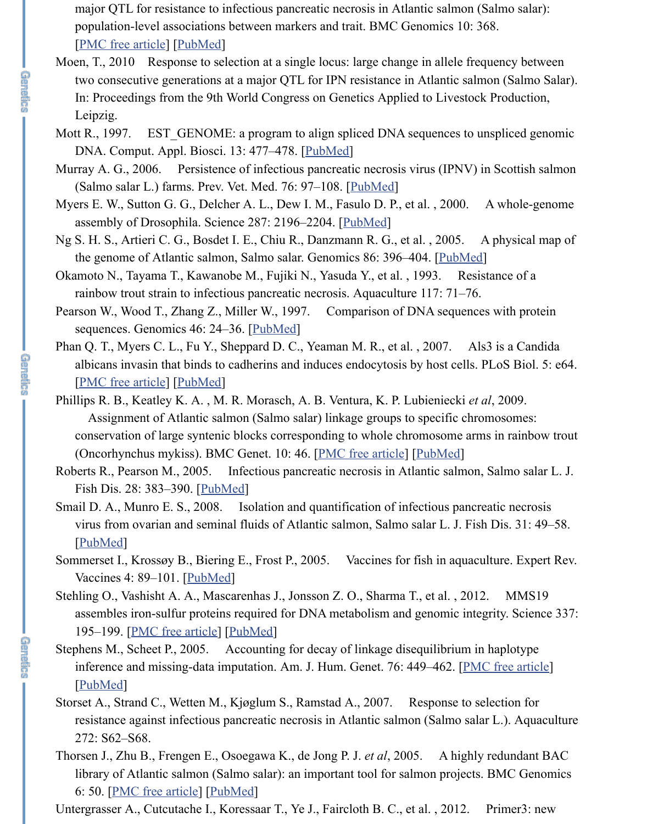major QTL for resistance to infectious pancreatic necrosis in Atlantic salmon (Salmo salar): population-level associations between markers and trait. BMC Genomics 10: 368. [\[PMC free article\]](https://www.ncbi.nlm.nih.gov/pmc/articles/PMC2728743/) [\[PubMed\]](https://www.ncbi.nlm.nih.gov/pubmed/19664221)

Moen, T., 2010 Response to selection at a single locus: large change in allele frequency between two consecutive generations at a major QTL for IPN resistance in Atlantic salmon (Salmo Salar). In: Proceedings from the 9th World Congress on Genetics Applied to Livestock Production, Leipzig.

**GREECE** 

**CENEDES** 

**GREEC** 

- Mott R., 1997. EST\_GENOME: a program to align spliced DNA sequences to unspliced genomic DNA. Comput. Appl. Biosci. 13: 477–478. [[PubMed\]](https://www.ncbi.nlm.nih.gov/pubmed/9283765)
- Murray A. G., 2006. Persistence of infectious pancreatic necrosis virus (IPNV) in Scottish salmon (Salmo salar L.) farms. Prev. Vet. Med. 76: 97–108. [\[PubMed\]](https://www.ncbi.nlm.nih.gov/pubmed/16730820)
- Myers E. W., Sutton G. G., Delcher A. L., Dew I. M., Fasulo D. P., et al. , 2000. A whole-genome assembly of Drosophila. Science 287: 2196-2204. [\[PubMed](https://www.ncbi.nlm.nih.gov/pubmed/10731133)]
- Ng S. H. S., Artieri C. G., Bosdet I. E., Chiu R., Danzmann R. G., et al. , 2005. A physical map of the genome of Atlantic salmon, Salmo salar. Genomics 86: 396-404. [[PubMed](https://www.ncbi.nlm.nih.gov/pubmed/16026963)]
- Okamoto N., Tayama T., Kawanobe M., Fujiki N., Yasuda Y., et al. , 1993. Resistance of a rainbow trout strain to infectious pancreatic necrosis. Aquaculture 117: 71–76.
- Pearson W., Wood T., Zhang Z., Miller W., 1997. Comparison of DNA sequences with protein sequences. Genomics 46: 24–36. [\[PubMed](https://www.ncbi.nlm.nih.gov/pubmed/9403055)]
- Phan Q. T., Myers C. L., Fu Y., Sheppard D. C., Yeaman M. R., et al., 2007. Als3 is a Candida albicans invasin that binds to cadherins and induces endocytosis by host cells. PLoS Biol. 5: e64. [\[PMC free article\]](https://www.ncbi.nlm.nih.gov/pmc/articles/PMC1802757/) [\[PubMed\]](https://www.ncbi.nlm.nih.gov/pubmed/17311474)
- Phillips R. B., Keatley K. A. , M. R. Morasch, A. B. Ventura, K. P. Lubieniecki *et al*, 2009. Assignment of Atlantic salmon (Salmo salar) linkage groups to specific chromosomes: conservation of large syntenic blocks corresponding to whole chromosome arms in rainbow trout (Oncorhynchus mykiss). BMC Genet. 10: 46. [[PMC free article](https://www.ncbi.nlm.nih.gov/pmc/articles/PMC2734554/)] [[PubMed](https://www.ncbi.nlm.nih.gov/pubmed/19689812)]
- Roberts R., Pearson M., 2005. Infectious pancreatic necrosis in Atlantic salmon, Salmo salar L. J. Fish Dis. 28: 383–390. [\[PubMed\]](https://www.ncbi.nlm.nih.gov/pubmed/16083443)
- Smail D. A., Munro E. S., 2008. Isolation and quantification of infectious pancreatic necrosis virus from ovarian and seminal fluids of Atlantic salmon, Salmo salar L. J. Fish Dis. 31: 49–58. [\[PubMed](https://www.ncbi.nlm.nih.gov/pubmed/18086034)]
- Sommerset I., Krossøy B., Biering E., Frost P., 2005. Vaccines for fish in aquaculture. Expert Rev. Vaccines 4: 89–101. [\[PubMed\]](https://www.ncbi.nlm.nih.gov/pubmed/15757476)
- Stehling O., Vashisht A. A., Mascarenhas J., Jonsson Z. O., Sharma T., et al. , 2012. MMS19 assembles iron-sulfur proteins required for DNA metabolism and genomic integrity. Science 337: 195–199. [\[PMC free article\]](https://www.ncbi.nlm.nih.gov/pmc/articles/PMC3420340/) [\[PubMed\]](https://www.ncbi.nlm.nih.gov/pubmed/22678362)
- Stephens M., Scheet P., 2005. Accounting for decay of linkage disequilibrium in haplotype inference and missing-data imputation. Am. J. Hum. Genet. 76: 449–462. [[PMC free article](https://www.ncbi.nlm.nih.gov/pmc/articles/PMC1196397/)] [\[PubMed](https://www.ncbi.nlm.nih.gov/pubmed/15700229)]
- Storset A., Strand C., Wetten M., Kjøglum S., Ramstad A., 2007. Response to selection for resistance against infectious pancreatic necrosis in Atlantic salmon (Salmo salar L.). Aquaculture 272: S62–S68.
- Thorsen J., Zhu B., Frengen E., Osoegawa K., de Jong P. J. *et al*, 2005. A highly redundant BAC library of Atlantic salmon (Salmo salar): an important tool for salmon projects. BMC Genomics 6: 50. [[PMC free article](https://www.ncbi.nlm.nih.gov/pmc/articles/PMC1082906/)] [[PubMed](https://www.ncbi.nlm.nih.gov/pubmed/15807896)]
- Untergrasser A., Cutcutache I., Koressaar T., Ye J., Faircloth B. C., et al., 2012. Primer3: new